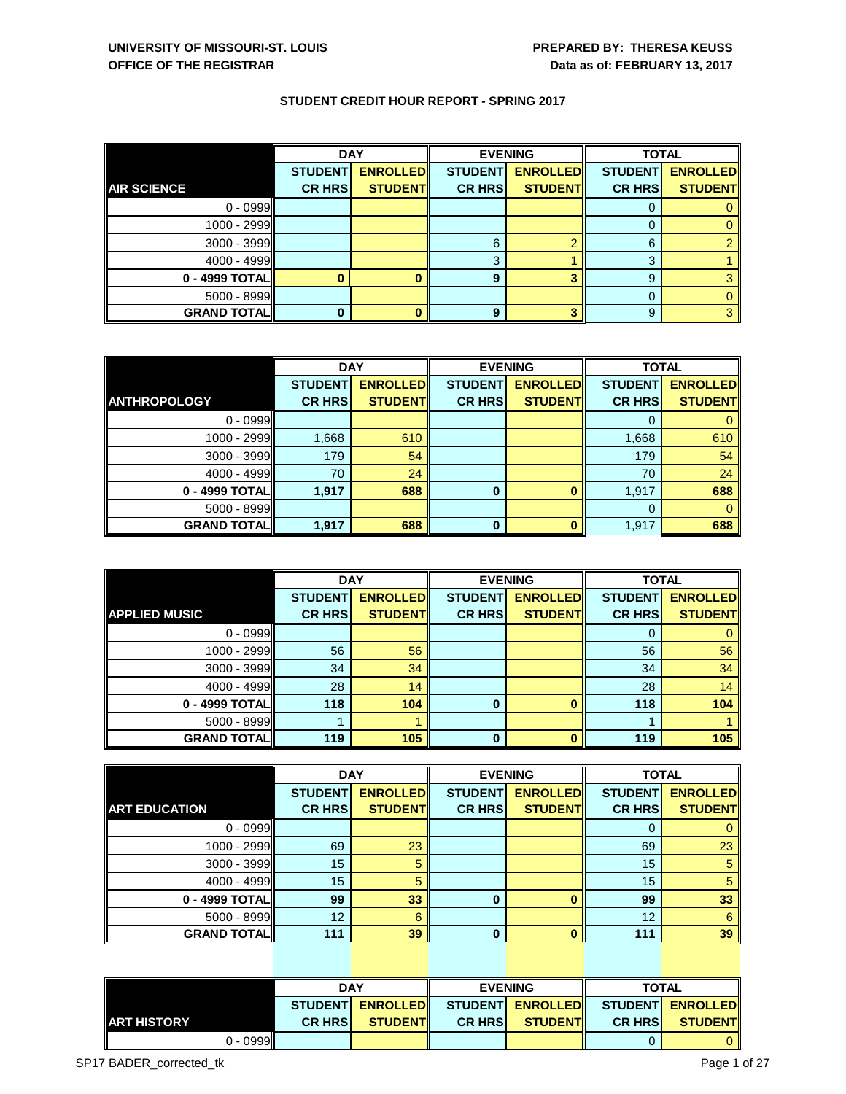|                    | <b>DAY</b>     |                 | <b>EVENING</b> |                 | <b>TOTAL</b>   |                 |
|--------------------|----------------|-----------------|----------------|-----------------|----------------|-----------------|
|                    | <b>STUDENT</b> | <b>ENROLLED</b> | <b>STUDENT</b> | <b>ENROLLED</b> | <b>STUDENT</b> | <b>ENROLLED</b> |
| <b>AIR SCIENCE</b> | <b>CR HRS</b>  | <b>STUDENT</b>  | <b>CR HRS</b>  | <b>STUDENT</b>  | <b>CR HRS</b>  | <b>STUDENT</b>  |
| $0 - 0999$         |                |                 |                |                 |                |                 |
| $1000 - 2999$      |                |                 |                |                 |                |                 |
| $3000 - 3999$      |                |                 | 6              |                 | 6              |                 |
| $4000 - 4999$      |                |                 | 3              |                 | ≏              |                 |
| 0 - 4999 TOTAL     |                |                 | 9              |                 | 9              |                 |
| $5000 - 8999$      |                |                 |                |                 |                |                 |
| <b>GRAND TOTAL</b> | 0              |                 | 9              |                 | 9              |                 |

|                     | <b>DAY</b>     |                 | <b>EVENING</b> |                 | <b>TOTAL</b>   |                 |
|---------------------|----------------|-----------------|----------------|-----------------|----------------|-----------------|
|                     | <b>STUDENT</b> | <b>ENROLLED</b> | <b>STUDENT</b> | <b>ENROLLED</b> | <b>STUDENT</b> | <b>ENROLLED</b> |
| <b>ANTHROPOLOGY</b> | <b>CR HRS</b>  | <b>STUDENT</b>  | <b>CR HRS</b>  | <b>STUDENT</b>  | <b>CR HRS</b>  | <b>STUDENT</b>  |
| $0 - 0999$          |                |                 |                |                 |                |                 |
| 1000 - 2999         | 1,668          | 610             |                |                 | 1,668          | 610             |
| $3000 - 3999$       | 179            | 54              |                |                 | 179            | 54              |
| 4000 - 4999         | 70             | 24              |                |                 | 70             | 24              |
| 0 - 4999 TOTAL      | 1,917          | 688             | 0              |                 | 1,917          | 688             |
| $5000 - 8999$       |                |                 |                |                 | 0              |                 |
| <b>GRAND TOTAL</b>  | 1,917          | 688             | $\bf{0}$       | ŋ               | 1,917          | 688             |

|                      | <b>DAY</b>     |                 |               | <b>EVENING</b>  | <b>TOTAL</b>   |                 |
|----------------------|----------------|-----------------|---------------|-----------------|----------------|-----------------|
|                      | <b>STUDENT</b> | <b>ENROLLED</b> |               | <b>ENROLLED</b> | <b>STUDENT</b> | <b>ENROLLED</b> |
| <b>APPLIED MUSIC</b> | <b>CR HRS</b>  | <b>STUDENT</b>  | <b>CR HRS</b> | <b>STUDENT</b>  | <b>CR HRS</b>  | <b>STUDENT</b>  |
| $0 - 0999$           |                |                 |               |                 |                |                 |
| $1000 - 2999$        | 56             | 56              |               |                 | 56             | 56              |
| $3000 - 3999$        | 34             | 34              |               |                 | 34             | 34              |
| 4000 - 4999          | 28             | 14              |               |                 | 28             | 14              |
| $0 - 4999$ TOTAL     | 118            | 104             | 0             | n               | 118            | 104             |
| $5000 - 8999$        |                |                 |               |                 |                |                 |
| <b>GRAND TOTAL</b>   | 119            | 105             | 0             |                 | 119            | 105             |

|                      |                | <b>DAY</b>      |                | <b>EVENING</b>  | <b>TOTAL</b>   |                 |
|----------------------|----------------|-----------------|----------------|-----------------|----------------|-----------------|
|                      | <b>STUDENT</b> | <b>ENROLLED</b> | <b>STUDENT</b> | <b>ENROLLED</b> | <b>STUDENT</b> | <b>ENROLLED</b> |
| <b>ART EDUCATION</b> | <b>CR HRS</b>  | <b>STUDENT</b>  | <b>CR HRS</b>  | <b>STUDENT</b>  | <b>CR HRS</b>  | <b>STUDENT</b>  |
| $0 - 0999$           |                |                 |                |                 |                | O               |
| $1000 - 2999$        | 69             | 23              |                |                 | 69             | 23              |
| $3000 - 3999$        | 15             | 5               |                |                 | 15             | $\sqrt{5}$      |
| $4000 - 4999$        | 15             | 5               |                |                 | 15             | $5^{\circ}$     |
| $0 - 4999$ TOTAL     | 99             | 33              | $\bf{0}$       |                 | 99             | 33              |
| $5000 - 8999$        | 12             | 6               |                |                 | 12             | 6               |
| <b>GRAND TOTAL</b>   | 111            | 39              | $\bf{0}$       | 0               | 111            | 39              |

|               | <b>DAY</b>     |                 | <b>EVENING</b>                                     |                 | <b>TOTAL</b>   |                |
|---------------|----------------|-----------------|----------------------------------------------------|-----------------|----------------|----------------|
|               |                |                 | STUDENT ENROLLED STUDENT ENROLLED STUDENT ENROLLED |                 |                |                |
| I ART HISTORY | <b>CR HRSI</b> | <b>STUDENTI</b> | <b>CR HRSI</b>                                     | <b>STUDENTI</b> | <b>CR HRSI</b> | <b>STUDENT</b> |
| 0 - 0999ll    |                |                 |                                                    |                 |                |                |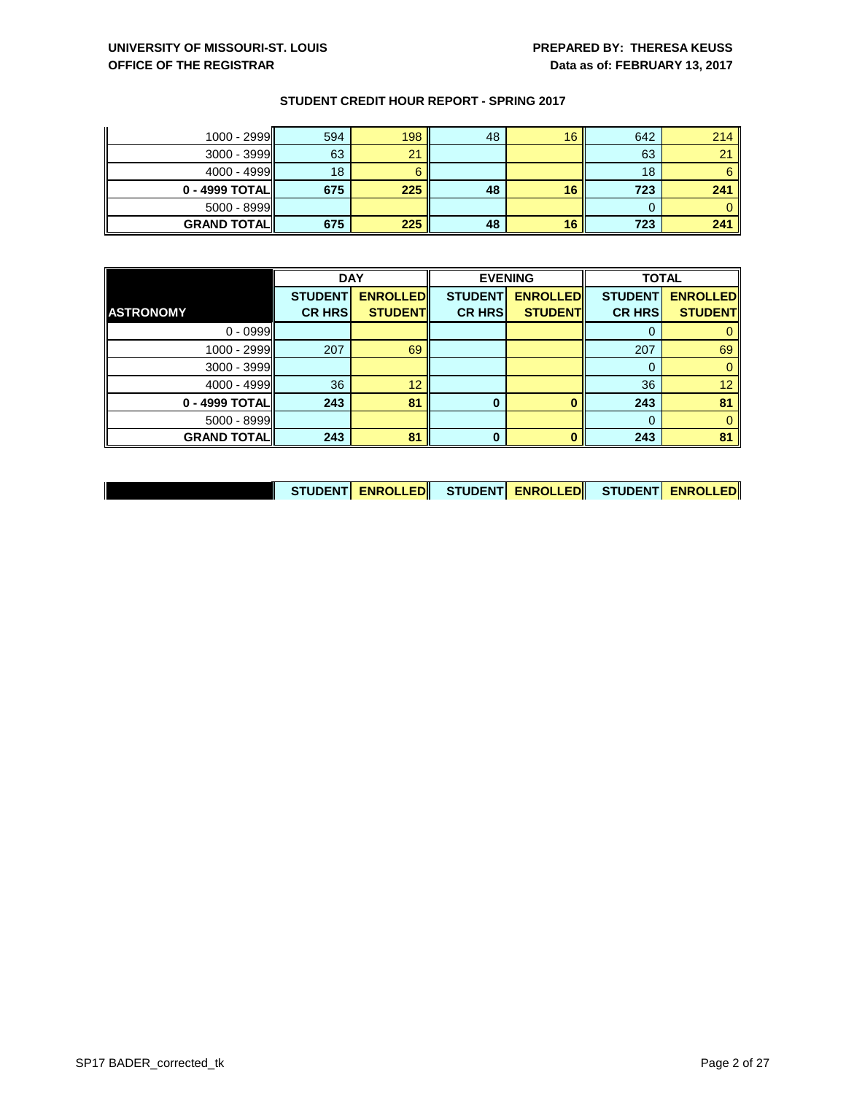# **UNIVERSITY OF MISSOURI-ST. LOUIS PREPARED BY: THERESA KEUSS OFFICE OF THE REGISTRAR DATA BY A SET A LOCAL THE REGISTRAR DATA BY A LOCAL THE PEBRUARY 13, 2017**

| $\mathbf I$<br>$1000 - 2999$ | 594 | 198 | 48 | 16 | 642 | 214 |
|------------------------------|-----|-----|----|----|-----|-----|
| $3000 - 3999$                | 63  | 21  |    |    | 63  | 21  |
| $4000 - 4999$                | 18  |     |    |    | 18  | 6.  |
| $0 - 4999$ TOTAL             | 675 | 225 | 48 |    | 723 | 241 |
| $5000 - 8999$                |     |     |    |    |     |     |
| <b>GRAND TOTAL</b>           | 675 | 225 | 48 |    | 723 | 241 |

|                    | <b>DAY</b>     |                 | <b>EVENING</b> |                 | <b>TOTAL</b>   |                 |
|--------------------|----------------|-----------------|----------------|-----------------|----------------|-----------------|
|                    | <b>STUDENT</b> | <b>ENROLLED</b> | <b>STUDENT</b> | <b>ENROLLED</b> | <b>STUDENT</b> | <b>ENROLLED</b> |
| <b>ASTRONOMY</b>   | <b>CR HRS</b>  | <b>STUDENT</b>  | <b>CR HRS</b>  | <b>STUDENT</b>  | <b>CR HRS</b>  | <b>STUDENT</b>  |
| $0 - 0999$         |                |                 |                |                 |                |                 |
| 1000 - 2999        | 207            | 69              |                |                 | 207            | 69              |
| $3000 - 3999$      |                |                 |                |                 | O              |                 |
| 4000 - 4999        | 36             | 12              |                |                 | 36             | 12              |
| 0 - 4999 TOTAL     | 243            | 81              | $\bf{0}$       |                 | 243            | 81              |
| $5000 - 8999$      |                |                 |                |                 |                |                 |
| <b>GRAND TOTAL</b> | 243            | 81              | $\bf{0}$       |                 | 243            | 81              |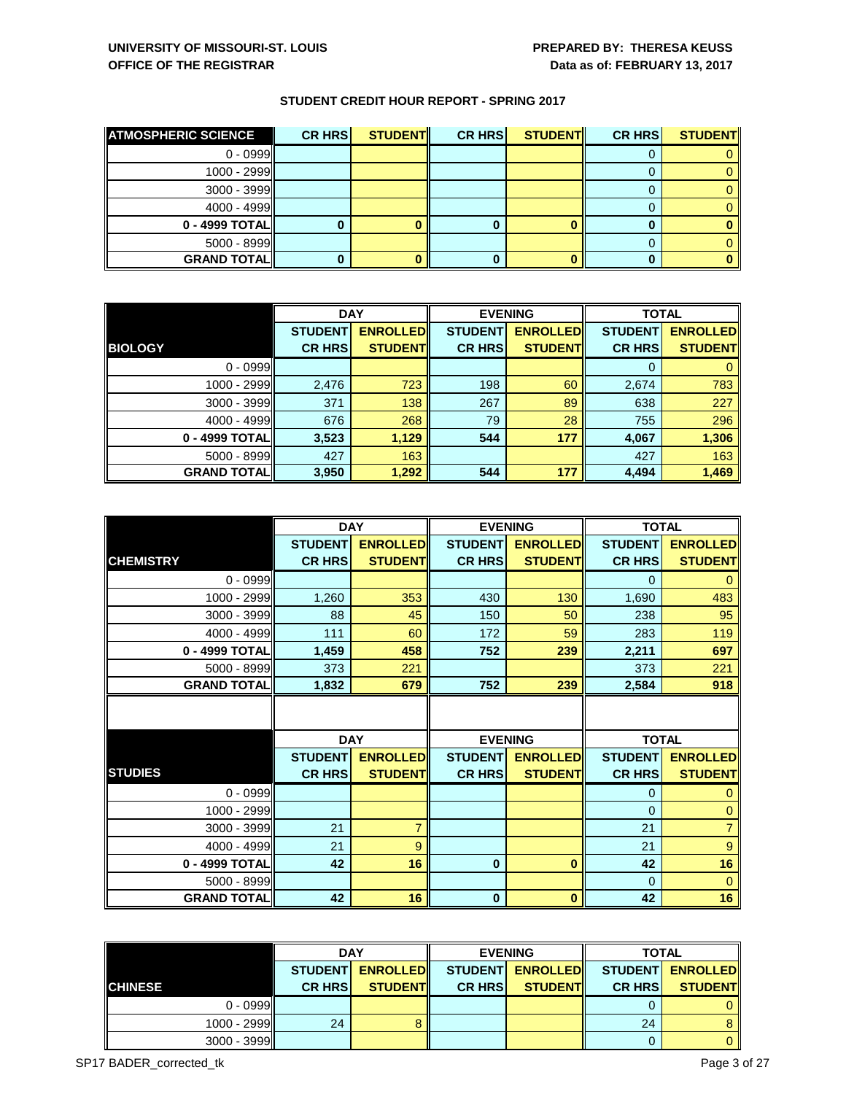| <b>ATMOSPHERIC SCIENCE</b> | <b>CR HRS</b> | <b>STUDENT</b> | <b>CR HRS</b> | <b>STUDENT</b> | <b>CR HRS</b> | <b>STUDENT</b> |
|----------------------------|---------------|----------------|---------------|----------------|---------------|----------------|
| $0 - 0999$                 |               |                |               |                |               |                |
| 1000 - 2999                |               |                |               |                |               |                |
| $3000 - 3999$              |               |                |               |                |               |                |
| $4000 - 4999$              |               |                |               |                |               |                |
| 0 - 4999 TOTAL             |               |                |               |                |               |                |
| $5000 - 8999$              |               |                |               |                |               |                |
| <b>GRAND TOTAL</b>         |               |                |               |                |               |                |

|                    | <b>DAY</b>     |                 | <b>EVENING</b> |                 | <b>TOTAL</b>   |                 |
|--------------------|----------------|-----------------|----------------|-----------------|----------------|-----------------|
|                    | <b>STUDENT</b> | <b>ENROLLED</b> | <b>STUDENT</b> | <b>ENROLLED</b> | <b>STUDENT</b> | <b>ENROLLED</b> |
| <b>BIOLOGY</b>     | <b>CR HRS</b>  | <b>STUDENT</b>  | <b>CR HRS</b>  | <b>STUDENT</b>  | <b>CR HRS</b>  | <b>STUDENT</b>  |
| $0 - 0999$         |                |                 |                |                 | 0              |                 |
| 1000 - 2999        | 2,476          | 723             | 198            | 60              | 2,674          | 783             |
| $3000 - 3999$      | 371            | 138             | 267            | 89              | 638            | 227             |
| $4000 - 4999$      | 676            | 268             | 79             | 28              | 755            | 296             |
| 0 - 4999 TOTAL     | 3,523          | 1,129           | 544            | 177             | 4,067          | 1,306           |
| $5000 - 8999$      | 427            | 163             |                |                 | 427            | 163             |
| <b>GRAND TOTAL</b> | 3,950          | 1,292           | 544            | 177             | 4,494          | 1,469           |

|                    |                | <b>DAY</b>      |                | <b>EVENING</b>  |                | <b>TOTAL</b>    |  |
|--------------------|----------------|-----------------|----------------|-----------------|----------------|-----------------|--|
|                    | <b>STUDENT</b> | <b>ENROLLED</b> | <b>STUDENT</b> | <b>ENROLLED</b> | <b>STUDENT</b> | <b>ENROLLED</b> |  |
| <b>CHEMISTRY</b>   | <b>CR HRS</b>  | <b>STUDENT</b>  | <b>CR HRS</b>  | <b>STUDENT</b>  | <b>CR HRS</b>  | <b>STUDENT</b>  |  |
| $0 - 0999$         |                |                 |                |                 | $\Omega$       | $\Omega$        |  |
| 1000 - 2999        | 1,260          | 353             | 430            | 130             | 1,690          | 483             |  |
| 3000 - 3999        | 88             | 45              | 150            | 50              | 238            | 95              |  |
| 4000 - 4999        | 111            | 60              | 172            | 59              | 283            | 119             |  |
| 0 - 4999 TOTAL     | 1,459          | 458             | 752            | 239             | 2,211          | 697             |  |
| 5000 - 8999        | 373            | 221             |                |                 | 373            | 221             |  |
| <b>GRAND TOTAL</b> | 1,832          | 679             | 752            | 239             | 2,584          | 918             |  |
|                    |                |                 |                |                 |                |                 |  |
|                    |                | <b>DAY</b>      |                | <b>EVENING</b>  | <b>TOTAL</b>   |                 |  |
|                    | <b>STUDENT</b> | <b>ENROLLED</b> | <b>STUDENT</b> | <b>ENROLLED</b> | <b>STUDENT</b> | <b>ENROLLED</b> |  |
| <b>STUDIES</b>     | <b>CR HRS</b>  | <b>STUDENT</b>  | <b>CR HRS</b>  | <b>STUDENT</b>  | <b>CR HRS</b>  | <b>STUDENT</b>  |  |
| $0 - 0999$         |                |                 |                |                 | $\mathbf 0$    | 0               |  |
| 1000 - 2999        |                |                 |                |                 | $\mathbf 0$    | $\mathbf 0$     |  |
| 3000 - 3999        | 21             | 7               |                |                 | 21             | 7               |  |
| 4000 - 4999        | 21             | 9               |                |                 | 21             | 9               |  |
| 0 - 4999 TOTAL     | 42             | 16              | $\bf{0}$       | $\bf{0}$        | 42             | 16              |  |
| 5000 - 8999        |                |                 |                |                 | $\Omega$       | $\Omega$        |  |
| <b>GRAND TOTAL</b> | 42             | 16              | $\bf{0}$       | $\bf{0}$        | 42             | 16              |  |

| <b>DAY</b>     |                |                 | <b>EVENING</b> |                 | <b>TOTAL</b>   |                 |
|----------------|----------------|-----------------|----------------|-----------------|----------------|-----------------|
|                | <b>STUDENT</b> | <b>ENROLLED</b> | <b>STUDENT</b> | <b>ENROLLED</b> | <b>STUDENT</b> | <b>ENROLLED</b> |
| <b>CHINESE</b> | <b>CR HRS</b>  | <b>STUDENTI</b> | <b>CR HRS</b>  | <b>STUDENT</b>  | <b>CR HRS</b>  | <b>STUDENT</b>  |
| $0 - 0999$     |                |                 |                |                 |                | 0.              |
| $1000 - 2999$  | 24             |                 |                |                 | 24             | 8.              |
| $3000 - 3999$  |                |                 |                |                 |                | 0               |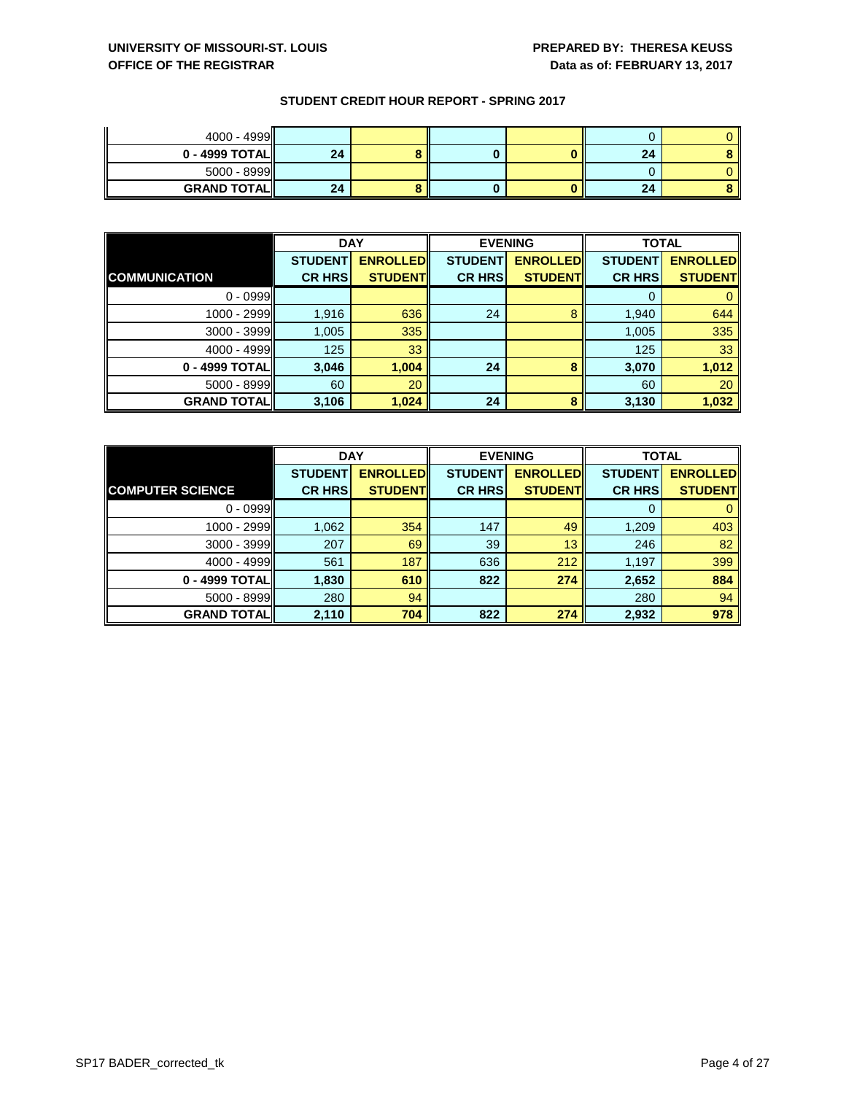| $4000 - 4999$      |    |  |    |  |
|--------------------|----|--|----|--|
| $0 - 4999$ TOTAL   | 24 |  | 24 |  |
| $5000 - 8999$      |    |  |    |  |
| <b>GRAND TOTAL</b> | 24 |  | 24 |  |

|                      | <b>DAY</b>     |                 |                | <b>EVENING</b>  |                | <b>TOTAL</b>    |  |
|----------------------|----------------|-----------------|----------------|-----------------|----------------|-----------------|--|
|                      | <b>STUDENT</b> | <b>ENROLLED</b> | <b>STUDENT</b> | <b>ENROLLED</b> | <b>STUDENT</b> | <b>ENROLLED</b> |  |
| <b>COMMUNICATION</b> | <b>CR HRS</b>  | <b>STUDENT</b>  | <b>CR HRS</b>  | <b>STUDENT</b>  | <b>CR HRS</b>  | <b>STUDENT</b>  |  |
| $0 - 0999$           |                |                 |                |                 |                |                 |  |
| $1000 - 2999$        | 1,916          | 636             | 24             | 8               | 1,940          | 644             |  |
| $3000 - 3999$        | 1,005          | 335             |                |                 | 1,005          | 335             |  |
| $4000 - 4999$        | 125            | 33              |                |                 | 125            | 33              |  |
| $0 - 4999$ TOTAL     | 3,046          | 1,004           | 24             | 8               | 3,070          | 1,012           |  |
| $5000 - 8999$        | 60             | 20              |                |                 | 60             | 20              |  |
| <b>GRAND TOTAL</b>   | 3,106          | 1,024           | 24             | 8               | 3,130          | 1,032           |  |

|                         | <b>DAY</b>     |                 | <b>EVENING</b> |                 | <b>TOTAL</b>   |                 |
|-------------------------|----------------|-----------------|----------------|-----------------|----------------|-----------------|
|                         | <b>STUDENT</b> | <b>ENROLLED</b> | <b>STUDENT</b> | <b>ENROLLED</b> | <b>STUDENT</b> | <b>ENROLLED</b> |
| <b>COMPUTER SCIENCE</b> | <b>CR HRS</b>  | <b>STUDENT</b>  | <b>CR HRS</b>  | <b>STUDENT</b>  | <b>CR HRS</b>  | <b>STUDENT</b>  |
| $0 - 0999$              |                |                 |                |                 | 0              |                 |
| $1000 - 2999$           | 1,062          | 354             | 147            | 49              | 1,209          | 403             |
| $3000 - 3999$           | 207            | 69              | 39             | 13              | 246            | 82              |
| $4000 - 4999$           | 561            | 187             | 636            | 212             | 1,197          | 399             |
| 0 - 4999 TOTAL          | 1,830          | 610             | 822            | 274             | 2,652          | 884             |
| $5000 - 8999$           | 280            | 94              |                |                 | 280            | 94              |
| <b>GRAND TOTAL</b>      | 2,110          | 704             | 822            | 274             | 2,932          | 978             |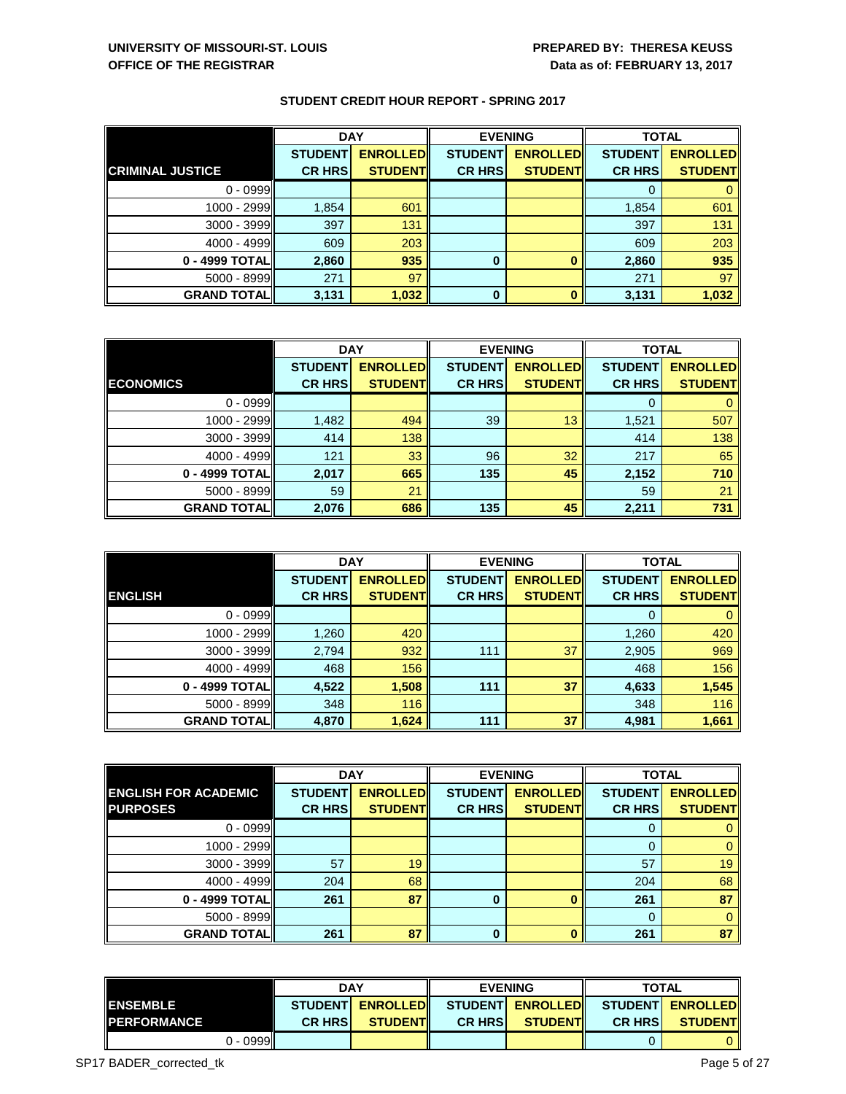|                         | <b>DAY</b>     |                 |                | <b>EVENING</b>  |                | <b>TOTAL</b>    |  |
|-------------------------|----------------|-----------------|----------------|-----------------|----------------|-----------------|--|
|                         | <b>STUDENT</b> | <b>ENROLLED</b> | <b>STUDENT</b> | <b>ENROLLED</b> | <b>STUDENT</b> | <b>ENROLLED</b> |  |
| <b>CRIMINAL JUSTICE</b> | <b>CR HRS</b>  | <b>STUDENT</b>  | <b>CR HRS</b>  | <b>STUDENT</b>  | <b>CR HRS</b>  | <b>STUDENT</b>  |  |
| $0 - 0999$              |                |                 |                |                 |                |                 |  |
| $1000 - 2999$           | 1,854          | 601             |                |                 | 1,854          | 601             |  |
| $3000 - 3999$           | 397            | 131             |                |                 | 397            | 131             |  |
| $4000 - 4999$           | 609            | 203             |                |                 | 609            | 203             |  |
| 0 - 4999 TOTAL          | 2,860          | 935             | $\bf{0}$       |                 | 2,860          | 935             |  |
| $5000 - 8999$           | 271            | 97              |                |                 | 271            | 97              |  |
| <b>GRAND TOTAL</b>      | 3,131          | 1,032           | 0              |                 | 3,131          | 1,032           |  |

|                      | <b>DAY</b>     |                 | <b>EVENING</b> |                 | <b>TOTAL</b>   |                 |
|----------------------|----------------|-----------------|----------------|-----------------|----------------|-----------------|
|                      | <b>STUDENT</b> | <b>ENROLLED</b> | <b>STUDENT</b> | <b>ENROLLED</b> | <b>STUDENT</b> | <b>ENROLLED</b> |
| <b>ECONOMICS</b>     | <b>CR HRS</b>  | <b>STUDENT</b>  | <b>CR HRS</b>  | <b>STUDENT</b>  | <b>CR HRS</b>  | <b>STUDENT</b>  |
| $0 - 0999$           |                |                 |                |                 |                |                 |
| 1000 - 2999          | 1,482          | 494             | 39             | 13              | 1,521          | 507             |
| 3000 - 3999          | 414            | 138             |                |                 | 414            | 138             |
| 4000 - 4999          | 121            | 33              | 96             | 32              | 217            | 65              |
| 0 - 4999 TOTAL       | 2,017          | 665             | 135            | 45              | 2,152          | 710             |
| $5000 - 8999$        | 59             | 21              |                |                 | 59             | 21              |
| <b>GRAND TOTAL  </b> | 2,076          | 686             | 135            | 45              | 2,211          | 731             |

|                     | <b>DAY</b>     |                 |                | <b>EVENING</b>  |                | <b>TOTAL</b>    |  |
|---------------------|----------------|-----------------|----------------|-----------------|----------------|-----------------|--|
|                     | <b>STUDENT</b> | <b>ENROLLED</b> | <b>STUDENT</b> | <b>ENROLLED</b> | <b>STUDENT</b> | <b>ENROLLED</b> |  |
| <b>ENGLISH</b>      | <b>CR HRS</b>  | <b>STUDENT</b>  | <b>CR HRS</b>  | <b>STUDENT</b>  | <b>CR HRS</b>  | <b>STUDENT</b>  |  |
| $0 - 0999$          |                |                 |                |                 | O              | 0               |  |
| $1000 - 2999$       | 1,260          | 420             |                |                 | 1,260          | 420             |  |
| $3000 - 3999$       | 2,794          | 932             | 111            | 37              | 2,905          | 969             |  |
| $4000 - 4999$       | 468            | 156             |                |                 | 468            | 156             |  |
| 0 - 4999 TOTAL      | 4,522          | 1,508           | 111            | 37              | 4,633          | 1,545           |  |
| $5000 - 8999$       | 348            | 116             |                |                 | 348            | 116             |  |
| <b>GRAND TOTALI</b> | 4,870          | 1,624           | 111            | 37              | 4,981          | 1,661           |  |

|                             | <b>DAY</b>     |                 |                | <b>EVENING</b>  | <b>TOTAL</b>   |                 |
|-----------------------------|----------------|-----------------|----------------|-----------------|----------------|-----------------|
| <b>ENGLISH FOR ACADEMIC</b> | <b>STUDENT</b> | <b>ENROLLED</b> | <b>STUDENT</b> | <b>ENROLLED</b> | <b>STUDENT</b> | <b>ENROLLED</b> |
| <b>PURPOSES</b>             | <b>CR HRS</b>  | <b>STUDENT</b>  | <b>CR HRS</b>  | <b>STUDENT</b>  | <b>CR HRS</b>  | <b>STUDENT</b>  |
| $0 - 0999$                  |                |                 |                |                 | U              | 0               |
| $1000 - 2999$               |                |                 |                |                 |                | $\mathbf{0}$    |
| $3000 - 3999$               | 57             | 19              |                |                 | 57             | 19              |
| $4000 - 4999$               | 204            | 68              |                |                 | 204            | 68              |
| 0 - 4999 TOTAL              | 261            | 87              | $\mathbf{0}$   |                 | 261            | 87              |
| $5000 - 8999$               |                |                 |                |                 | 0              | $\mathbf{0}$    |
| <b>GRAND TOTAL</b>          | 261            | 87              | $\bf{0}$       |                 | 261            | 87              |

|                     |            | <b>DAY</b>      |                 | <b>EVENING</b> |                 | <b>TOTAL</b>                      |                |
|---------------------|------------|-----------------|-----------------|----------------|-----------------|-----------------------------------|----------------|
| <b>IENSEMBLE</b>    |            | <b>STUDENTI</b> | <b>ENROLLED</b> |                |                 | STUDENT ENROLLED STUDENT ENROLLED |                |
| <b>IPERFORMANCE</b> |            | <b>CR HRSI</b>  | <b>STUDENTI</b> | <b>CR HRSI</b> | <b>STUDENTI</b> | <b>CR HRSI</b>                    | <b>STUDENT</b> |
|                     | 0 - 0999ll |                 |                 |                |                 |                                   |                |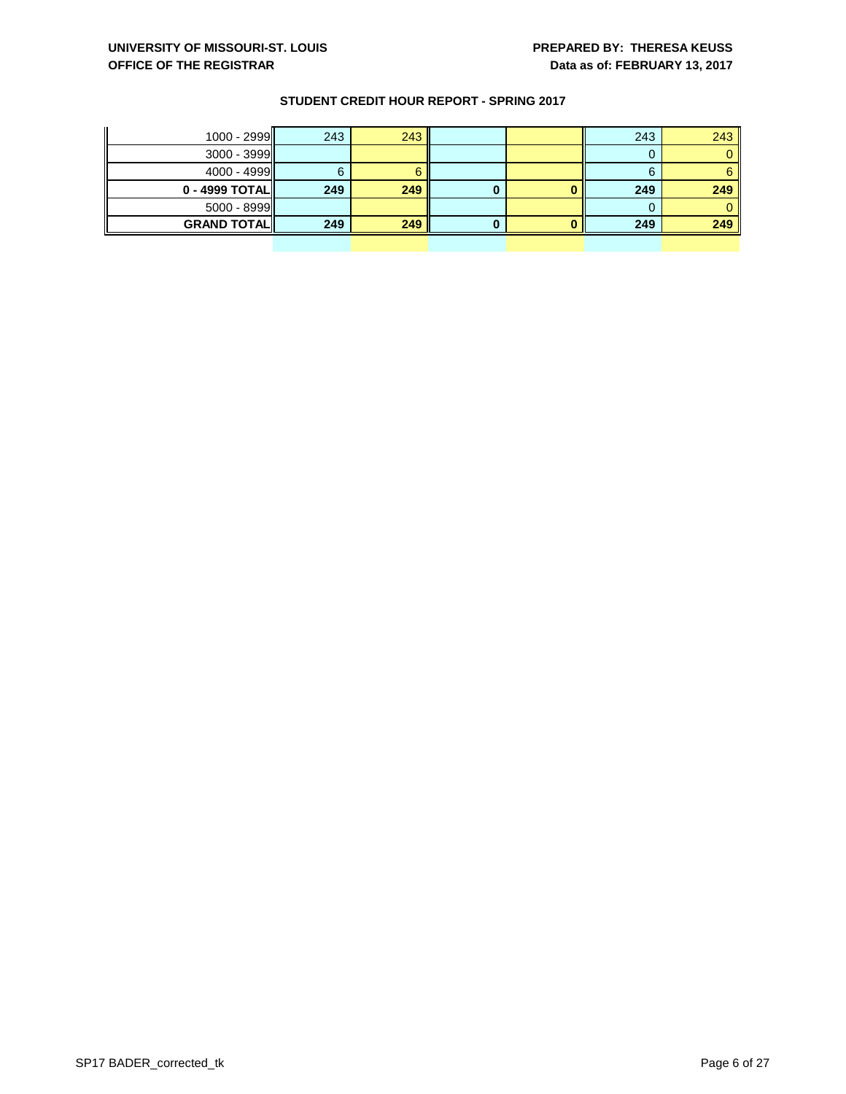| $1000 - 2999$      | 243 | 243 |   | 243 | 243 |
|--------------------|-----|-----|---|-----|-----|
| $3000 - 3999$      |     |     |   |     |     |
| $4000 - 4999$      |     |     |   | 6   |     |
| $0 - 4999$ TOTAL   | 249 | 249 | u | 249 | 249 |
| $5000 - 8999$      |     |     |   |     |     |
| <b>GRAND TOTAL</b> | 249 | 249 |   | 249 | 249 |
|                    |     |     |   |     |     |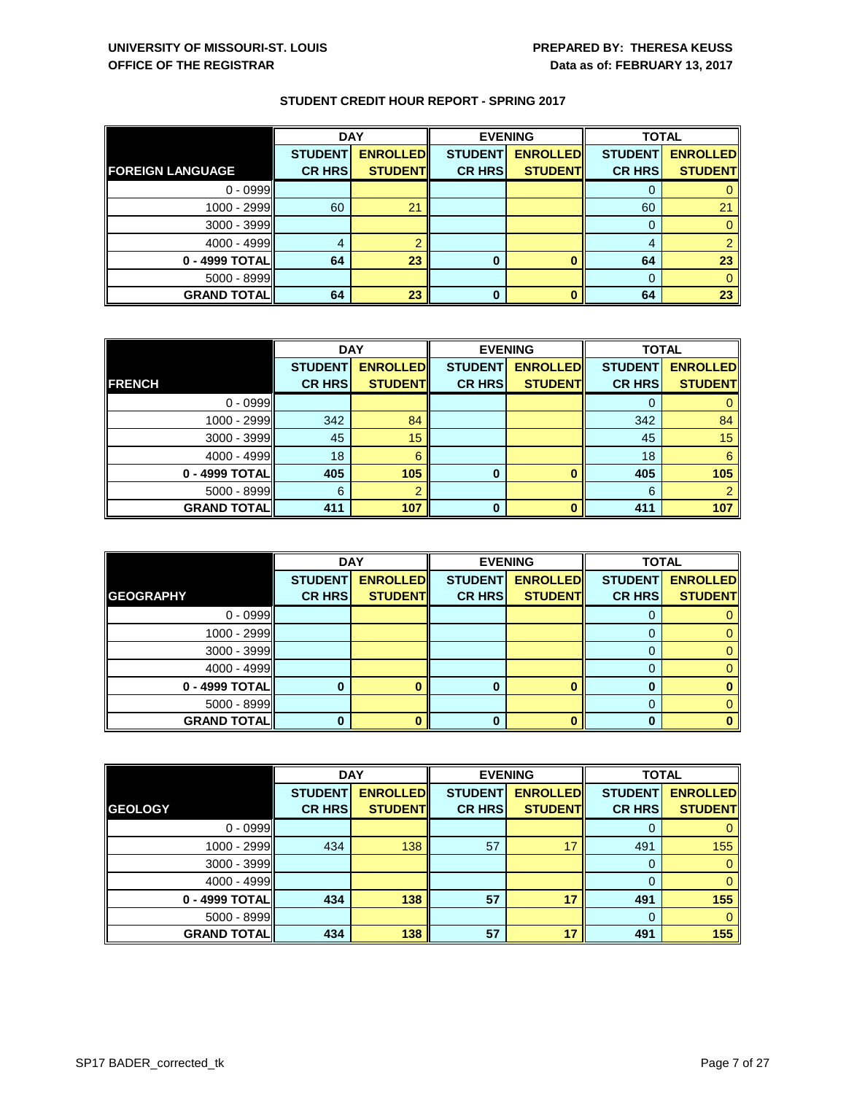|                         | <b>DAY</b>     |                 |                | <b>EVENING</b>  |                | <b>TOTAL</b>    |  |
|-------------------------|----------------|-----------------|----------------|-----------------|----------------|-----------------|--|
|                         | <b>STUDENT</b> | <b>ENROLLED</b> | <b>STUDENT</b> | <b>ENROLLED</b> | <b>STUDENT</b> | <b>ENROLLED</b> |  |
| <b>FOREIGN LANGUAGE</b> | <b>CR HRS</b>  | <b>STUDENT</b>  | <b>CR HRS</b>  | <b>STUDENT</b>  | <b>CR HRS</b>  | <b>STUDENT</b>  |  |
| $0 - 0999$              |                |                 |                |                 |                |                 |  |
| 1000 - 2999             | 60             | 21              |                |                 | 60             | 21              |  |
| $3000 - 3999$           |                |                 |                |                 |                |                 |  |
| 4000 - 4999             | $\overline{4}$ |                 |                |                 | 4              |                 |  |
| 0 - 4999 TOTAL          | 64             | 23              | 0              |                 | 64             | 23              |  |
| 5000 - 8999             |                |                 |                |                 |                |                 |  |
| <b>GRAND TOTAL</b>      | 64             | 23              | 0              |                 | 64             | 23              |  |

|                    | <b>DAY</b>     |                 |                | <b>EVENING</b>  | <b>TOTAL</b>   |                 |
|--------------------|----------------|-----------------|----------------|-----------------|----------------|-----------------|
|                    | <b>STUDENT</b> | <b>ENROLLED</b> | <b>STUDENT</b> | <b>ENROLLED</b> | <b>STUDENT</b> | <b>ENROLLED</b> |
| <b>FRENCH</b>      | <b>CR HRS</b>  | <b>STUDENT</b>  | <b>CR HRS</b>  | <b>STUDENT</b>  | <b>CR HRS</b>  | <b>STUDENT</b>  |
| $0 - 0999$         |                |                 |                |                 |                |                 |
| 1000 - 2999        | 342            | 84              |                |                 | 342            | 84              |
| $3000 - 3999$      | 45             | 15              |                |                 | 45             | 15              |
| 4000 - 4999        | 18             | 6               |                |                 | 18             | 6               |
| 0 - 4999 TOTAL     | 405            | 105             | $\bf{0}$       |                 | 405            | 105             |
| 5000 - 8999        | 6              |                 |                |                 | 6              |                 |
| <b>GRAND TOTAL</b> | 411            | 107             | $\bf{0}$       |                 | 411            | 107             |

|                    | <b>DAY</b>     |                 | <b>EVENING</b> |                 | <b>TOTAL</b>   |                 |
|--------------------|----------------|-----------------|----------------|-----------------|----------------|-----------------|
|                    | <b>STUDENT</b> | <b>ENROLLED</b> | <b>STUDENT</b> | <b>ENROLLED</b> | <b>STUDENT</b> | <b>ENROLLED</b> |
| <b>GEOGRAPHY</b>   | <b>CR HRS</b>  | <b>STUDENT</b>  | <b>CR HRS</b>  | <b>STUDENT</b>  | <b>CR HRS</b>  | <b>STUDENT</b>  |
| $0 - 0999$         |                |                 |                |                 | 0              |                 |
| 1000 - 2999        |                |                 |                |                 | 0              |                 |
| 3000 - 3999        |                |                 |                |                 | O              |                 |
| 4000 - 4999        |                |                 |                |                 | 0              |                 |
| 0 - 4999 TOTAL     | 0              |                 | $\bf{0}$       |                 | 0              |                 |
| $5000 - 8999$      |                |                 |                |                 | 0              |                 |
| <b>GRAND TOTAL</b> | 0              |                 | $\Omega$       |                 | 0              |                 |

|                    | <b>DAY</b>     |                 |                | <b>EVENING</b>  | <b>TOTAL</b>   |                 |
|--------------------|----------------|-----------------|----------------|-----------------|----------------|-----------------|
|                    | <b>STUDENT</b> | <b>ENROLLED</b> | <b>STUDENT</b> | <b>ENROLLED</b> | <b>STUDENT</b> | <b>ENROLLED</b> |
| <b>GEOLOGY</b>     | <b>CR HRS</b>  | <b>STUDENT</b>  | <b>CR HRS</b>  | <b>STUDENT</b>  | <b>CR HRS</b>  | <b>STUDENT</b>  |
| $0 - 0999$         |                |                 |                |                 | 0              | $\overline{0}$  |
| $1000 - 2999$      | 434            | 138             | 57             | 17              | 491            | 155             |
| $3000 - 3999$      |                |                 |                |                 | 0              | $\mathbf{0}$    |
| 4000 - 4999        |                |                 |                |                 | 0              | $\mathbf{0}$    |
| $0 - 4999$ TOTAL   | 434            | 138             | 57             | 17              | 491            | 155             |
| $5000 - 8999$      |                |                 |                |                 | 0              | $\mathbf{0}$    |
| <b>GRAND TOTAL</b> | 434            | 138             | 57             | 17              | 491            | 155             |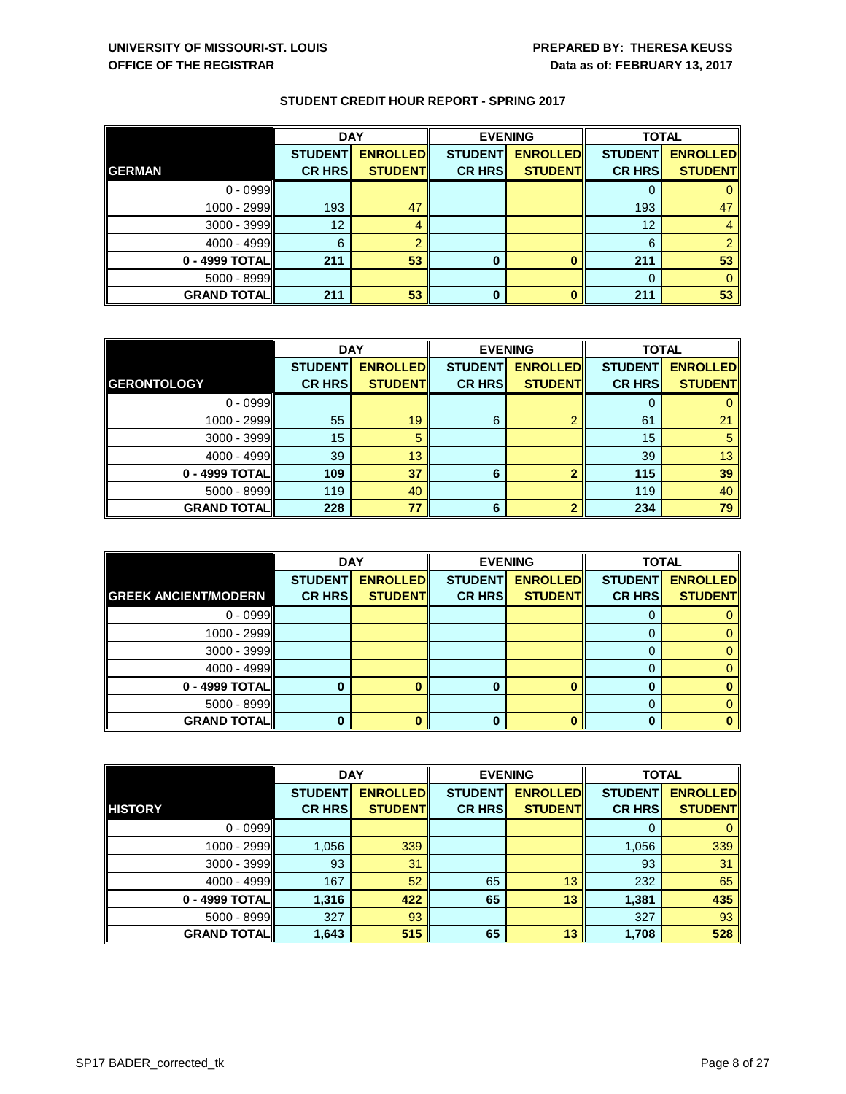|                    | <b>DAY</b>     |                 |                | <b>EVENING</b>  | <b>TOTAL</b>   |                 |
|--------------------|----------------|-----------------|----------------|-----------------|----------------|-----------------|
|                    | <b>STUDENT</b> | <b>ENROLLED</b> | <b>STUDENT</b> | <b>ENROLLED</b> | <b>STUDENT</b> | <b>ENROLLED</b> |
| <b>GERMAN</b>      | <b>CR HRS</b>  | <b>STUDENT</b>  | <b>CR HRS</b>  | <b>STUDENT</b>  | <b>CR HRS</b>  | <b>STUDENT</b>  |
| $0 - 0999$         |                |                 |                |                 |                |                 |
| 1000 - 2999        | 193            | 47              |                |                 | 193            | 47              |
| $3000 - 3999$      | 12             | 4               |                |                 | 12             |                 |
| 4000 - 4999        | 6              |                 |                |                 | 6              |                 |
| $0 - 4999$ TOTAL   | 211            | 53              | 0              |                 | 211            | 53              |
| 5000 - 8999        |                |                 |                |                 | $\Omega$       |                 |
| <b>GRAND TOTAL</b> | 211            | 53              | 0              |                 | 211            | 53              |

|                    | <b>DAY</b>     |                 |                | <b>EVENING</b>  | <b>TOTAL</b>   |                 |
|--------------------|----------------|-----------------|----------------|-----------------|----------------|-----------------|
|                    | <b>STUDENT</b> | <b>ENROLLED</b> | <b>STUDENT</b> | <b>ENROLLED</b> | <b>STUDENT</b> | <b>ENROLLED</b> |
| <b>GERONTOLOGY</b> | <b>CR HRS</b>  | <b>STUDENT</b>  | <b>CR HRS</b>  | <b>STUDENT</b>  | <b>CR HRS</b>  | <b>STUDENT</b>  |
| $0 - 0999$         |                |                 |                |                 |                |                 |
| 1000 - 2999        | 55             | 19              | 6              |                 | 61             | 21              |
| $3000 - 3999$      | 15             | 5               |                |                 | 15             |                 |
| 4000 - 4999        | 39             | 13              |                |                 | 39             | 13              |
| 0 - 4999 TOTAL     | 109            | 37              | 6              |                 | 115            | 39              |
| $5000 - 8999$      | 119            | 40              |                |                 | 119            | 40              |
| <b>GRAND TOTAL</b> | 228            | 77              | 6              |                 | 234            | 79              |

|                             | <b>DAY</b>     |                 | <b>EVENING</b> |                 | <b>TOTAL</b>   |                 |
|-----------------------------|----------------|-----------------|----------------|-----------------|----------------|-----------------|
|                             | <b>STUDENT</b> | <b>ENROLLED</b> | <b>STUDENT</b> | <b>ENROLLED</b> | <b>STUDENT</b> | <b>ENROLLED</b> |
| <b>GREEK ANCIENT/MODERN</b> | <b>CR HRS</b>  | <b>STUDENT</b>  | <b>CR HRS</b>  | <b>STUDENT</b>  | <b>CR HRS</b>  | <b>STUDENT</b>  |
| $0 - 0999$                  |                |                 |                |                 |                |                 |
| $1000 - 2999$               |                |                 |                |                 | 0              |                 |
| $3000 - 3999$               |                |                 |                |                 | O              |                 |
| $4000 - 4999$               |                |                 |                |                 | 0              |                 |
| $0 - 4999$ TOTAL            |                |                 | 0              |                 | 0              |                 |
| $5000 - 8999$               |                |                 |                |                 | 0              |                 |
| <b>GRAND TOTAL</b>          | 0              |                 | 0              |                 | 0              |                 |

|                    | <b>DAY</b>     |                 |                | <b>EVENING</b>  | <b>TOTAL</b>   |                 |
|--------------------|----------------|-----------------|----------------|-----------------|----------------|-----------------|
|                    | <b>STUDENT</b> | <b>ENROLLED</b> | <b>STUDENT</b> | <b>ENROLLED</b> | <b>STUDENT</b> | <b>ENROLLED</b> |
| <b>HISTORY</b>     | <b>CR HRS</b>  | <b>STUDENT</b>  | <b>CR HRS</b>  | <b>STUDENT</b>  | <b>CR HRS</b>  | <b>STUDENT</b>  |
| $0 - 0999$         |                |                 |                |                 | 0              | $\mathbf{0}$    |
| $1000 - 2999$      | 1,056          | 339             |                |                 | 1,056          | 339             |
| $3000 - 3999$      | 93             | 31              |                |                 | 93             | 31              |
| $4000 - 4999$      | 167            | 52              | 65             | 13              | 232            | 65              |
| 0 - 4999 TOTAL     | 1,316          | 422             | 65             | 13              | 1,381          | 435             |
| $5000 - 8999$      | 327            | 93              |                |                 | 327            | 93              |
| <b>GRAND TOTAL</b> | 1,643          | 515             | 65             | 13              | 1,708          | 528             |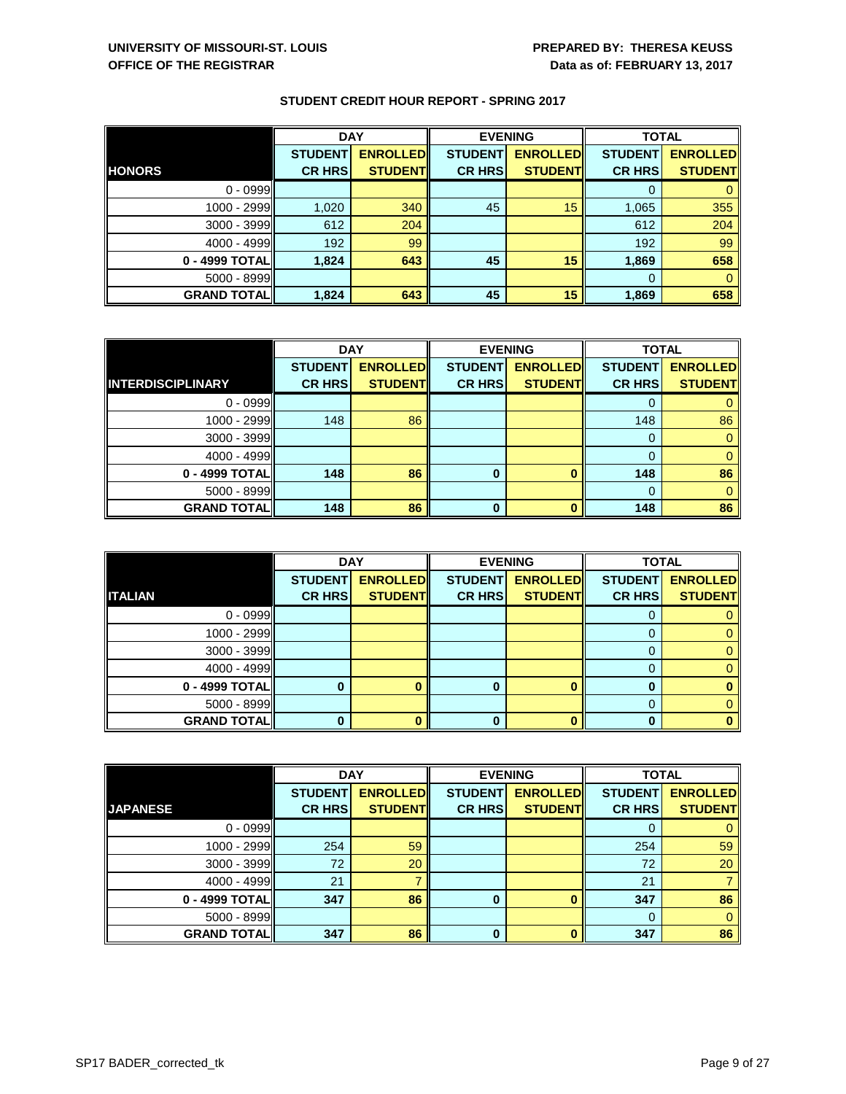|                    | <b>DAY</b>     |                 | <b>EVENING</b> |                 | <b>TOTAL</b>   |                 |
|--------------------|----------------|-----------------|----------------|-----------------|----------------|-----------------|
|                    | <b>STUDENT</b> | <b>ENROLLED</b> | <b>STUDENT</b> | <b>ENROLLED</b> | <b>STUDENT</b> | <b>ENROLLED</b> |
| <b>HONORS</b>      | <b>CR HRS</b>  | <b>STUDENT</b>  | <b>CR HRS</b>  | <b>STUDENT</b>  | <b>CR HRS</b>  | <b>STUDENT</b>  |
| $0 - 0999$         |                |                 |                |                 |                |                 |
| $1000 - 2999$      | 1,020          | 340             | 45             | 15              | 1,065          | 355             |
| $3000 - 3999$      | 612            | 204             |                |                 | 612            | 204             |
| $4000 - 4999$      | 192            | 99              |                |                 | 192            | 99              |
| 0 - 4999 TOTAL     | 1,824          | 643             | 45             | 15              | 1,869          | 658             |
| $5000 - 8999$      |                |                 |                |                 | $\Omega$       |                 |
| <b>GRAND TOTAL</b> | 1,824          | 643             | 45             | 15              | 1,869          | 658             |

|                          | <b>DAY</b>     |                 |                | <b>EVENING</b>  | <b>TOTAL</b>   |                 |
|--------------------------|----------------|-----------------|----------------|-----------------|----------------|-----------------|
|                          | <b>STUDENT</b> | <b>ENROLLED</b> | <b>STUDENT</b> | <b>ENROLLED</b> | <b>STUDENT</b> | <b>ENROLLED</b> |
| <b>INTERDISCIPLINARY</b> | <b>CR HRS</b>  | <b>STUDENT</b>  | <b>CR HRS</b>  | <b>STUDENT</b>  | <b>CR HRS</b>  | <b>STUDENT</b>  |
| $0 - 0999$               |                |                 |                |                 | 0              |                 |
| $1000 - 2999$            | 148            | 86              |                |                 | 148            | 86              |
| $3000 - 3999$            |                |                 |                |                 | 0              |                 |
| $4000 - 4999$            |                |                 |                |                 | 0              |                 |
| 0 - 4999 TOTAL           | 148            | 86              | 0              |                 | 148            | 86              |
| $5000 - 8999$            |                |                 |                |                 | 0              |                 |
| <b>GRAND TOTAL</b>       | 148            | 86              | $\bf{0}$       |                 | 148            | 86              |

|                    | <b>DAY</b>     |                 |                | <b>EVENING</b>  | <b>TOTAL</b>   |                 |
|--------------------|----------------|-----------------|----------------|-----------------|----------------|-----------------|
|                    | <b>STUDENT</b> | <b>ENROLLED</b> | <b>STUDENT</b> | <b>ENROLLED</b> | <b>STUDENT</b> | <b>ENROLLED</b> |
| <b>ITALIAN</b>     | <b>CR HRS</b>  | <b>STUDENT</b>  | <b>CR HRS</b>  | <b>STUDENT</b>  | <b>CR HRS</b>  | <b>STUDENT</b>  |
| $0 - 0999$         |                |                 |                |                 | O              |                 |
| $1000 - 2999$      |                |                 |                |                 | 0              |                 |
| $3000 - 3999$      |                |                 |                |                 | O              |                 |
| $4000 - 4999$      |                |                 |                |                 | 0              |                 |
| 0 - 4999 TOTAL     | 0              | n               | 0              |                 | 0              |                 |
| $5000 - 8999$      |                |                 |                |                 | 0              |                 |
| <b>GRAND TOTAL</b> | 0              |                 | 0              |                 | 0              |                 |

|                    | <b>DAY</b>     |                 |                | <b>EVENING</b>  | <b>TOTAL</b>   |                 |
|--------------------|----------------|-----------------|----------------|-----------------|----------------|-----------------|
|                    | <b>STUDENT</b> | <b>ENROLLED</b> | <b>STUDENT</b> | <b>ENROLLED</b> | <b>STUDENT</b> | <b>ENROLLED</b> |
| <b>JAPANESE</b>    | <b>CR HRS</b>  | <b>STUDENT</b>  | <b>CR HRS</b>  | <b>STUDENT</b>  | <b>CR HRS</b>  | <b>STUDENT</b>  |
| $0 - 0999$         |                |                 |                |                 |                |                 |
| 1000 - 2999        | 254            | 59              |                |                 | 254            | 59              |
| $3000 - 3999$      | 72             | 20              |                |                 | 72             | 20              |
| 4000 - 4999        | 21             |                 |                |                 | 21             |                 |
| $0 - 4999$ TOTAL   | 347            | 86              | $\bf{0}$       |                 | 347            | 86              |
| $5000 - 8999$      |                |                 |                |                 | $\Omega$       | $\Omega$        |
| <b>GRAND TOTAL</b> | 347            | 86              | $\bf{0}$       |                 | 347            | 86              |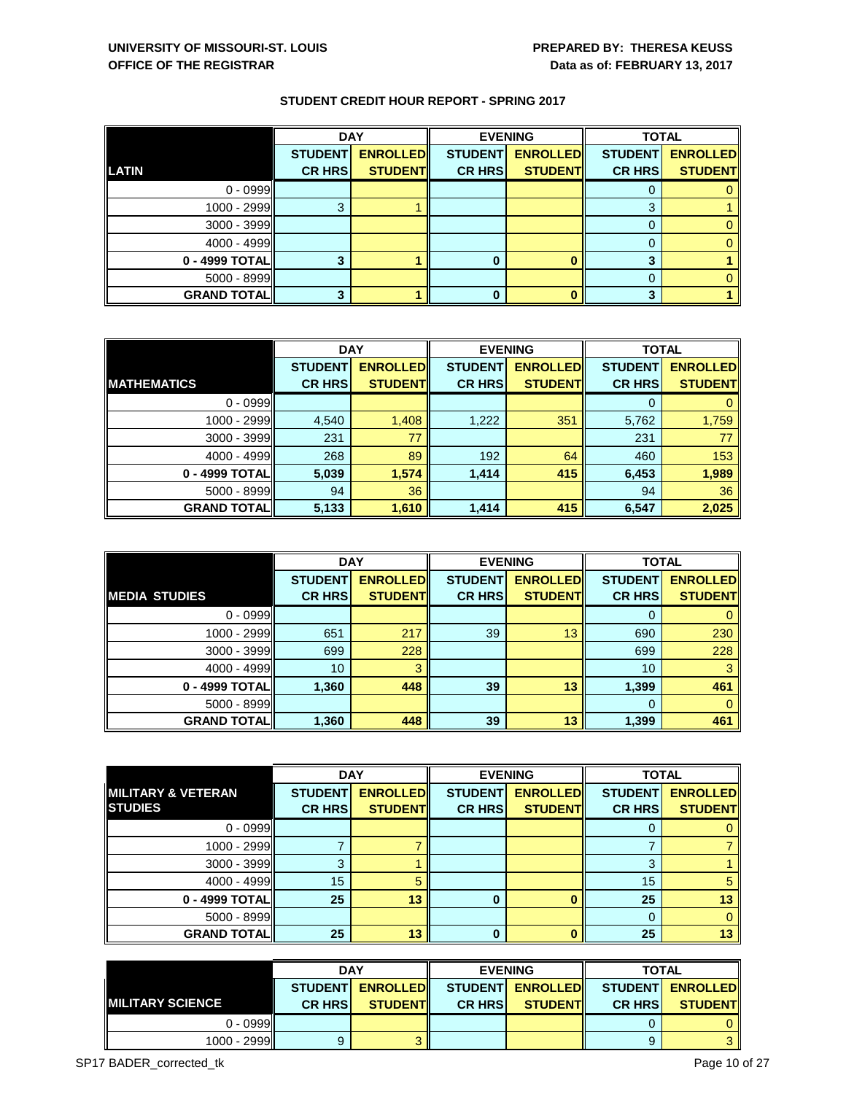|                    | <b>DAY</b>     |                 |                | <b>EVENING</b>  |                | <b>TOTAL</b>    |  |
|--------------------|----------------|-----------------|----------------|-----------------|----------------|-----------------|--|
|                    | <b>STUDENT</b> | <b>ENROLLED</b> | <b>STUDENT</b> | <b>ENROLLED</b> | <b>STUDENT</b> | <b>ENROLLED</b> |  |
| <b>LATIN</b>       | <b>CR HRS</b>  | <b>STUDENT</b>  | <b>CR HRS</b>  | <b>STUDENT</b>  | <b>CR HRS</b>  | <b>STUDENT</b>  |  |
| $0 - 0999$         |                |                 |                |                 |                |                 |  |
| 1000 - 2999        | 3              |                 |                |                 | 3              |                 |  |
| $3000 - 3999$      |                |                 |                |                 |                |                 |  |
| $4000 - 4999$      |                |                 |                |                 |                |                 |  |
| 0 - 4999 TOTAL     | 3              |                 |                |                 |                |                 |  |
| $5000 - 8999$      |                |                 |                |                 |                |                 |  |
| <b>GRAND TOTAL</b> | 3              |                 | 0              |                 | ≏              |                 |  |

|                    | <b>DAY</b>     |                 |                | <b>EVENING</b>  |                | <b>TOTAL</b>    |  |
|--------------------|----------------|-----------------|----------------|-----------------|----------------|-----------------|--|
|                    | <b>STUDENT</b> | <b>ENROLLED</b> | <b>STUDENT</b> | <b>ENROLLED</b> | <b>STUDENT</b> | <b>ENROLLED</b> |  |
| <b>MATHEMATICS</b> | <b>CR HRS</b>  | <b>STUDENT</b>  | <b>CR HRS</b>  | <b>STUDENT</b>  | <b>CR HRS</b>  | <b>STUDENT</b>  |  |
| $0 - 0999$         |                |                 |                |                 |                |                 |  |
| $1000 - 2999$      | 4,540          | 1,408           | 1,222          | 351             | 5,762          | 1,759           |  |
| $3000 - 3999$      | 231            | 77              |                |                 | 231            | 77              |  |
| $4000 - 4999$      | 268            | 89              | 192            | 64              | 460            | 153             |  |
| 0 - 4999 TOTAL     | 5,039          | 1,574           | 1,414          | 415             | 6,453          | 1,989           |  |
| $5000 - 8999$      | 94             | 36              |                |                 | 94             | 36              |  |
| <b>GRAND TOTAL</b> | 5,133          | 1,610           | 1,414          | 415             | 6,547          | 2,025           |  |

|                      | <b>DAY</b>     |                 | <b>EVENING</b> |                 | <b>TOTAL</b>   |                 |
|----------------------|----------------|-----------------|----------------|-----------------|----------------|-----------------|
|                      | <b>STUDENT</b> | <b>ENROLLED</b> | <b>STUDENT</b> | <b>ENROLLED</b> | <b>STUDENT</b> | <b>ENROLLED</b> |
| <b>MEDIA STUDIES</b> | <b>CR HRS</b>  | <b>STUDENT</b>  | <b>CR HRS</b>  | <b>STUDENT</b>  | <b>CR HRS</b>  | <b>STUDENT</b>  |
| $0 - 0999$           |                |                 |                |                 | O              |                 |
| $1000 - 2999$        | 651            | 217             | 39             | 13              | 690            | 230             |
| 3000 - 3999          | 699            | 228             |                |                 | 699            | 228             |
| $4000 - 4999$        | 10             | 3               |                |                 | 10             | 3               |
| 0 - 4999 TOTAL       | 1,360          | 448             | 39             | 13              | 1,399          | 461             |
| $5000 - 8999$        |                |                 |                |                 | $\Omega$       | 0               |
| <b>GRAND TOTAL</b>   | 1,360          | 448             | 39             | 13              | 1,399          | 461             |

|                               | <b>DAY</b>     |                 |                | <b>EVENING</b>  | <b>TOTAL</b>   |                 |
|-------------------------------|----------------|-----------------|----------------|-----------------|----------------|-----------------|
| <b>MILITARY &amp; VETERAN</b> | <b>STUDENT</b> | <b>ENROLLED</b> | <b>STUDENT</b> | <b>ENROLLED</b> | <b>STUDENT</b> | <b>ENROLLED</b> |
| <b>STUDIES</b>                | <b>CR HRS</b>  | <b>STUDENT</b>  | <b>CR HRS</b>  | <b>STUDENT</b>  | <b>CR HRS</b>  | <b>STUDENT</b>  |
| $0 - 0999$                    |                |                 |                |                 |                |                 |
| $1000 - 2999$                 |                |                 |                |                 |                |                 |
| $3000 - 3999$                 | 3              |                 |                |                 | 0              |                 |
| $4000 - 4999$                 | 15             | 5               |                |                 | 15             | 5               |
| 0 - 4999 TOTAL                | 25             | 13              | 0              |                 | 25             | 13              |
| $5000 - 8999$                 |                |                 |                |                 |                | $\mathbf{0}$    |
| <b>GRAND TOTAL</b>            | 25             | 13              | 0              |                 | 25             | 13              |

|                         | <b>DAY</b>     |                  |               | <b>EVENING</b>      | <b>TOTAL</b>    |                 |
|-------------------------|----------------|------------------|---------------|---------------------|-----------------|-----------------|
|                         |                | STUDENT ENROLLED |               | STUDENTI ENROLLEDII | <b>STUDENTI</b> | <b>ENROLLED</b> |
| <b>MILITARY SCIENCE</b> | <b>CR HRSI</b> | <b>STUDENTI</b>  | <b>CR HRS</b> | <b>STUDENTI</b>     | <b>CR HRSI</b>  | <b>STUDENT</b>  |
| $0 - 0999$              |                |                  |               |                     |                 | 0.              |
| 1000 - 2999             |                |                  |               |                     |                 | 2.              |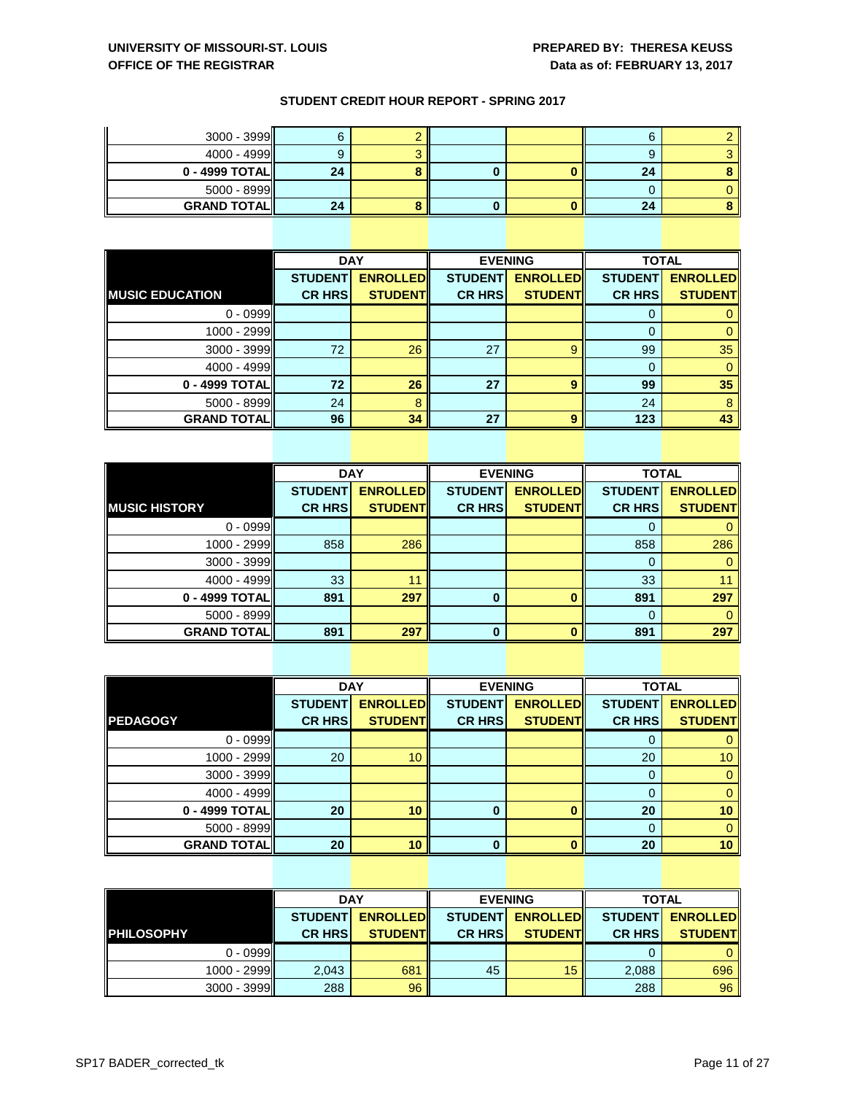| $3000 - 3999$      | 6  |  | c  |  |
|--------------------|----|--|----|--|
| $4000 - 4999$      |    |  |    |  |
| $0 - 4999$ TOTAL   | 24 |  | 24 |  |
| $5000 - 8999$      |    |  |    |  |
| <b>GRAND TOTAL</b> | 24 |  | 24 |  |

|                        | <b>DAY</b>     |                 |                | <b>EVENING</b>  | <b>TOTAL</b>   |                 |
|------------------------|----------------|-----------------|----------------|-----------------|----------------|-----------------|
|                        | <b>STUDENT</b> | <b>ENROLLED</b> | <b>STUDENT</b> | <b>ENROLLED</b> | <b>STUDENT</b> | <b>ENROLLED</b> |
| <b>MUSIC EDUCATION</b> | <b>CR HRS</b>  | <b>STUDENT</b>  | <b>CR HRS</b>  | <b>STUDENT</b>  | <b>CR HRS</b>  | <b>STUDENT</b>  |
| $0 - 0999$             |                |                 |                |                 |                |                 |
| $1000 - 2999$          |                |                 |                |                 |                |                 |
| $3000 - 3999$          | 72             | 26              | 27             | 9               | 99             | 35              |
| $4000 - 4999$          |                |                 |                |                 |                |                 |
| 0 - 4999 TOTAL         | 72             | 26              | 27             | q               | 99             | 35              |
| $5000 - 8999$          | 24             | 8               |                |                 | 24             | 8               |
| <b>GRAND TOTAL</b>     | 96             | 34              | 27             | o               | 123            | 43              |

|                      | <b>DAY</b>     |                 |                | <b>EVENING</b>  | <b>TOTAL</b>   |                 |
|----------------------|----------------|-----------------|----------------|-----------------|----------------|-----------------|
|                      | <b>STUDENT</b> | <b>ENROLLED</b> | <b>STUDENT</b> | <b>ENROLLED</b> | <b>STUDENT</b> | <b>ENROLLED</b> |
| <b>MUSIC HISTORY</b> | <b>CR HRS</b>  | <b>STUDENT</b>  | <b>CR HRS</b>  | <b>STUDENT</b>  | <b>CR HRS</b>  | <b>STUDENT</b>  |
| $0 - 0999$           |                |                 |                |                 |                |                 |
| 1000 - 2999          | 858            | 286             |                |                 | 858            | 286             |
| $3000 - 3999$        |                |                 |                |                 | 0              |                 |
| 4000 - 4999          | 33             | 11              |                |                 | 33             |                 |
| 0 - 4999 TOTAL       | 891            | 297             | 0              |                 | 891            | 297             |
| $5000 - 8999$        |                |                 |                |                 |                |                 |
| <b>GRAND TOTAL</b>   | 891            | 297             | U              |                 | 891            | 297             |

|                    | <b>DAY</b>     |                 |                | <b>EVENING</b>  |                | <b>TOTAL</b>    |  |
|--------------------|----------------|-----------------|----------------|-----------------|----------------|-----------------|--|
|                    | <b>STUDENT</b> | <b>ENROLLED</b> | <b>STUDENT</b> | <b>ENROLLED</b> | <b>STUDENT</b> | <b>ENROLLED</b> |  |
| <b>PEDAGOGY</b>    | <b>CR HRS</b>  | <b>STUDENT</b>  | <b>CR HRS</b>  | <b>STUDENT</b>  | <b>CR HRS</b>  | <b>STUDENT</b>  |  |
| $0 - 0999$         |                |                 |                |                 | $\cup$         |                 |  |
| $1000 - 2999$      | 20             | 10              |                |                 | 20             | 10 <sup>°</sup> |  |
| $3000 - 3999$      |                |                 |                |                 |                |                 |  |
| $4000 - 4999$      |                |                 |                |                 | 0              |                 |  |
| 0 - 4999 TOTAL     | 20             | 10              | 0              | O               | 20             | 10              |  |
| $5000 - 8999$      |                |                 |                |                 | $\Omega$       |                 |  |
| <b>GRAND TOTAL</b> | 20             | 10              | $\bf{0}$       |                 | 20             | 10              |  |

|                   | <b>DAY</b>     |                 | <b>EVENING</b> |                 | <b>TOTAL</b>   |                 |
|-------------------|----------------|-----------------|----------------|-----------------|----------------|-----------------|
|                   | <b>STUDENT</b> | <b>ENROLLED</b> | <b>STUDENT</b> | <b>ENROLLED</b> | <b>STUDENT</b> | <b>ENROLLED</b> |
| <b>PHILOSOPHY</b> | <b>CR HRS</b>  | <b>STUDENT</b>  | <b>CR HRS</b>  | <b>STUDENTI</b> | <b>CR HRS</b>  | <b>STUDENT</b>  |
| $0 - 0999$        |                |                 |                |                 |                |                 |
| 1000 - 2999       | 2,043          | 681             | 45             | 15              | 2,088          | 696             |
| $3000 - 3999$     | 288            | 96              |                |                 | 288            | 96              |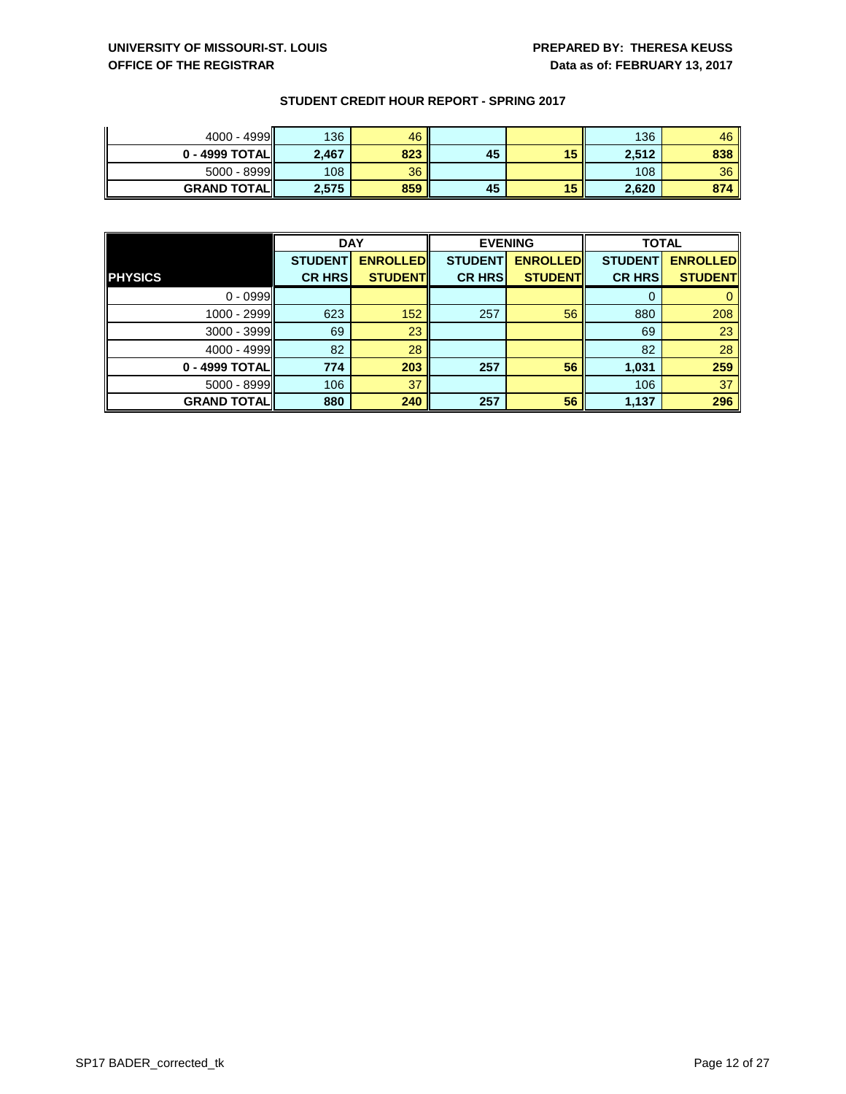| $4000 - 4999$      | 136   | 46              |    |     | 136   | 46  |
|--------------------|-------|-----------------|----|-----|-------|-----|
| $0 - 4999$ TOTAL   | 2,467 | 823             | 45 | 15  | 2,512 | 838 |
| $5000 - 8999$      | 108   | 36 <sub>1</sub> |    |     | 108   | 36  |
| <b>GRAND TOTAL</b> | 2,575 | 859             | 45 | 15. | 2,620 | 874 |

|                    | <b>DAY</b>     |                 | <b>EVENING</b> |                 | <b>TOTAL</b>   |                 |
|--------------------|----------------|-----------------|----------------|-----------------|----------------|-----------------|
|                    | <b>STUDENT</b> | <b>ENROLLED</b> | <b>STUDENT</b> | <b>ENROLLED</b> | <b>STUDENT</b> | <b>ENROLLED</b> |
| <b>PHYSICS</b>     | <b>CR HRS</b>  | <b>STUDENT</b>  | <b>CR HRS</b>  | <b>STUDENT</b>  | <b>CR HRS</b>  | <b>STUDENT</b>  |
| $0 - 0999$         |                |                 |                |                 |                |                 |
| 1000 - 2999        | 623            | 152             | 257            | 56              | 880            | 208             |
| 3000 - 3999        | 69             | 23              |                |                 | 69             | 23              |
| 4000 - 4999        | 82             | 28              |                |                 | 82             | 28              |
| 0 - 4999 TOTAL     | 774            | 203             | 257            | 56              | 1,031          | 259             |
| 5000 - 8999        | 106            | 37              |                |                 | 106            | 37              |
| <b>GRAND TOTAL</b> | 880            | 240             | 257            | 56              | 1,137          | 296             |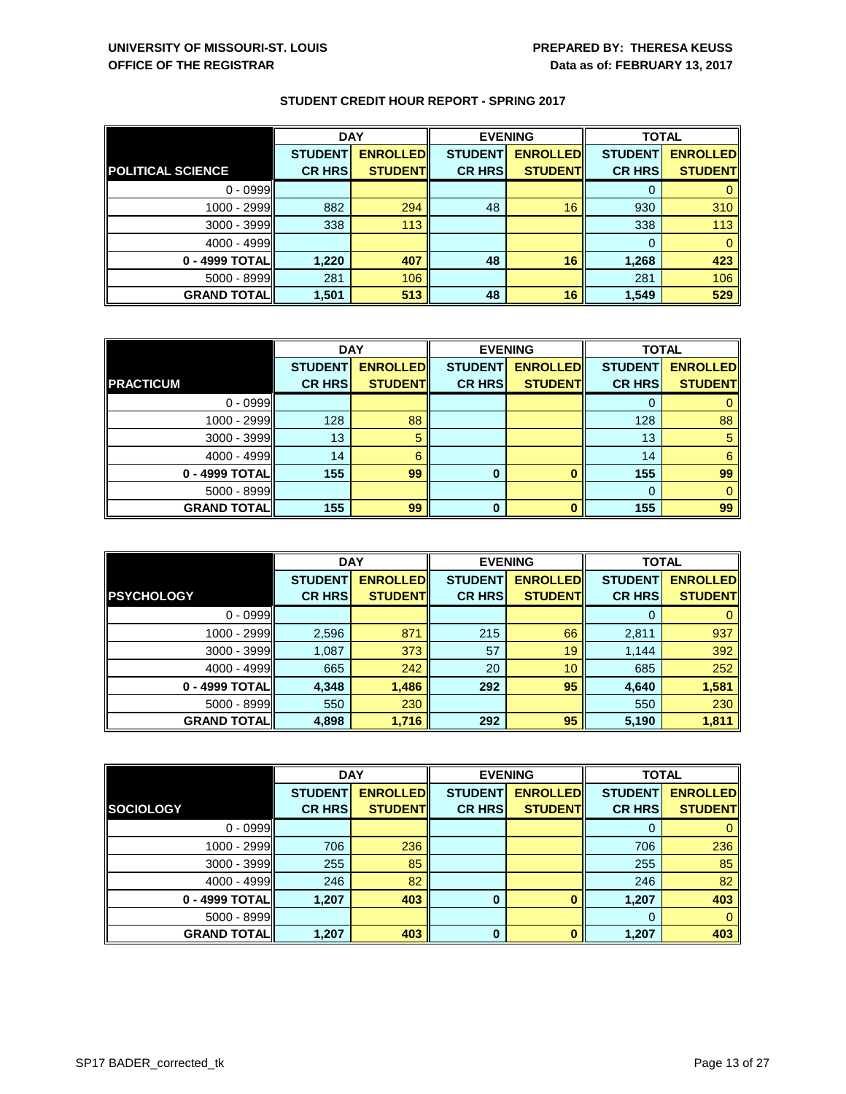|                          | <b>DAY</b>     |                 |                | <b>EVENING</b>  |                | <b>TOTAL</b>    |  |
|--------------------------|----------------|-----------------|----------------|-----------------|----------------|-----------------|--|
|                          | <b>STUDENT</b> | <b>ENROLLED</b> | <b>STUDENT</b> | <b>ENROLLED</b> | <b>STUDENT</b> | <b>ENROLLED</b> |  |
| <b>POLITICAL SCIENCE</b> | <b>CR HRS</b>  | <b>STUDENT</b>  | <b>CR HRS</b>  | <b>STUDENT</b>  | <b>CR HRS</b>  | <b>STUDENT</b>  |  |
| $0 - 0999$               |                |                 |                |                 |                |                 |  |
| $1000 - 2999$            | 882            | 294             | 48             | 16              | 930            | 310             |  |
| $3000 - 3999$            | 338            | 113             |                |                 | 338            | 113             |  |
| $4000 - 4999$            |                |                 |                |                 | 0              |                 |  |
| 0 - 4999 TOTAL           | 1,220          | 407             | 48             | 16              | 1,268          | 423             |  |
| $5000 - 8999$            | 281            | 106             |                |                 | 281            | 106             |  |
| <b>GRAND TOTAL</b>       | 1,501          | 513             | 48             | 16              | 1,549          | 529             |  |

|                    | <b>DAY</b>     |                 | <b>EVENING</b> |                 | <b>TOTAL</b>   |                 |
|--------------------|----------------|-----------------|----------------|-----------------|----------------|-----------------|
|                    | <b>STUDENT</b> | <b>ENROLLED</b> | <b>STUDENT</b> | <b>ENROLLED</b> | <b>STUDENT</b> | <b>ENROLLED</b> |
| <b>PRACTICUM</b>   | <b>CR HRS</b>  | <b>STUDENT</b>  | <b>CR HRS</b>  | <b>STUDENT</b>  | <b>CR HRS</b>  | <b>STUDENT</b>  |
| $0 - 0999$         |                |                 |                |                 |                |                 |
| 1000 - 2999        | 128            | 88              |                |                 | 128            | 88              |
| $3000 - 3999$      | 13             | 5               |                |                 | 13             |                 |
| 4000 - 4999        | 14             | 6               |                |                 | 14             | 6               |
| 0 - 4999 TOTAL     | 155            | 99              | 0              |                 | 155            | 99              |
| $5000 - 8999$      |                |                 |                |                 |                |                 |
| <b>GRAND TOTAL</b> | 155            | 99              | $\bf{0}$       |                 | 155            | 99              |

|                      | <b>DAY</b>     |                 |                | <b>EVENING</b>  | <b>TOTAL</b>   |                 |
|----------------------|----------------|-----------------|----------------|-----------------|----------------|-----------------|
|                      | <b>STUDENT</b> | <b>ENROLLED</b> | <b>STUDENT</b> | <b>ENROLLED</b> | <b>STUDENT</b> | <b>ENROLLED</b> |
| <b>PSYCHOLOGY</b>    | <b>CR HRS</b>  | <b>STUDENT</b>  | <b>CR HRS</b>  | <b>STUDENT</b>  | <b>CR HRS</b>  | <b>STUDENT</b>  |
| $0 - 0999$           |                |                 |                |                 | O              |                 |
| $1000 - 2999$        | 2,596          | 871             | 215            | 66              | 2,811          | 937             |
| $3000 - 3999$        | 1,087          | 373             | 57             | 19              | 1,144          | 392             |
| $4000 - 4999$        | 665            | 242             | 20             | 10              | 685            | 252             |
| 0 - 4999 TOTAL       | 4,348          | 1,486           | 292            | 95              | 4,640          | 1,581           |
| $5000 - 8999$        | 550            | 230             |                |                 | 550            | 230             |
| <b>GRAND TOTAL  </b> | 4,898          | 1,716           | 292            | 95              | 5,190          | 1,811           |

|                    | <b>DAY</b>     |                 |                | <b>EVENING</b>  | <b>TOTAL</b>   |                 |
|--------------------|----------------|-----------------|----------------|-----------------|----------------|-----------------|
|                    | <b>STUDENT</b> | <b>ENROLLED</b> | <b>STUDENT</b> | <b>ENROLLED</b> | <b>STUDENT</b> | <b>ENROLLED</b> |
| <b>SOCIOLOGY</b>   | <b>CR HRS</b>  | <b>STUDENT</b>  | <b>CR HRS</b>  | <b>STUDENT</b>  | <b>CR HRS</b>  | <b>STUDENT</b>  |
| $0 - 0999$         |                |                 |                |                 | 0              | 0               |
| 1000 - 2999        | 706            | 236             |                |                 | 706            | 236             |
| 3000 - 3999        | 255            | 85              |                |                 | 255            | 85              |
| 4000 - 4999        | 246            | 82              |                |                 | 246            | 82              |
| 0 - 4999 TOTAL     | 1,207          | 403             | $\bf{0}$       | n               | 1,207          | 403             |
| $5000 - 8999$      |                |                 |                |                 | 0              | 0               |
| <b>GRAND TOTAL</b> | 1,207          | 403             | $\bf{0}$       | n               | 1,207          | 403             |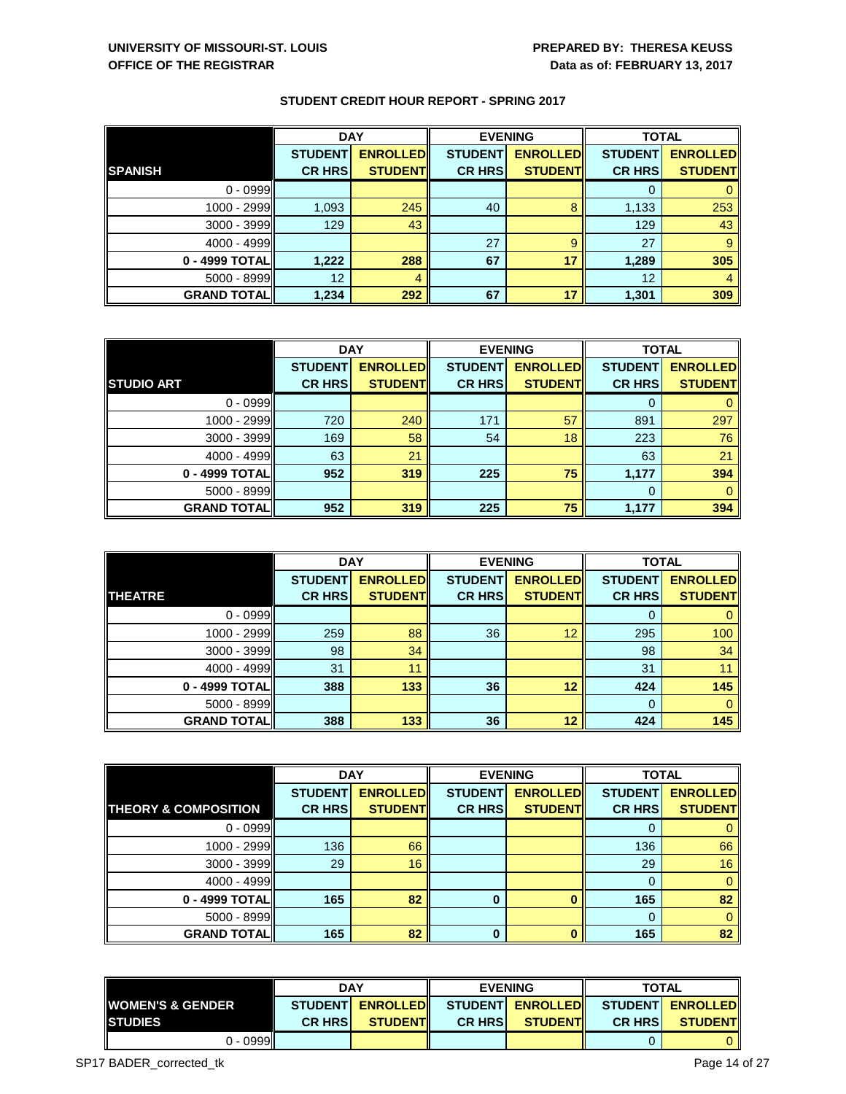|                    | <b>DAY</b>     |                 |                | <b>EVENING</b>  |                | <b>TOTAL</b>    |  |
|--------------------|----------------|-----------------|----------------|-----------------|----------------|-----------------|--|
|                    | <b>STUDENT</b> | <b>ENROLLED</b> | <b>STUDENT</b> | <b>ENROLLED</b> | <b>STUDENT</b> | <b>ENROLLED</b> |  |
| <b>SPANISH</b>     | <b>CR HRS</b>  | <b>STUDENT</b>  | <b>CR HRS</b>  | <b>STUDENT</b>  | <b>CR HRS</b>  | <b>STUDENT</b>  |  |
| $0 - 0999$         |                |                 |                |                 |                |                 |  |
| $1000 - 2999$      | 1,093          | 245             | 40             | 8               | 1,133          | 253             |  |
| $3000 - 3999$      | 129            | 43              |                |                 | 129            | 43              |  |
| $4000 - 4999$      |                |                 | 27             | 9               | 27             |                 |  |
| 0 - 4999 TOTAL     | 1,222          | 288             | 67             | 17              | 1,289          | 305             |  |
| $5000 - 8999$      | 12             | 4               |                |                 | 12             |                 |  |
| <b>GRAND TOTAL</b> | 1,234          | 292             | 67             | 17              | 1,301          | 309             |  |

|                    | <b>DAY</b>     |                 | <b>EVENING</b> |                 | <b>TOTAL</b>   |                 |
|--------------------|----------------|-----------------|----------------|-----------------|----------------|-----------------|
|                    | <b>STUDENT</b> | <b>ENROLLED</b> | <b>STUDENT</b> | <b>ENROLLED</b> | <b>STUDENT</b> | <b>ENROLLED</b> |
| <b>STUDIO ART</b>  | <b>CR HRS</b>  | <b>STUDENT</b>  | <b>CR HRS</b>  | <b>STUDENT</b>  | <b>CR HRS</b>  | <b>STUDENT</b>  |
| $0 - 0999$         |                |                 |                |                 | 0              |                 |
| 1000 - 2999        | 720            | 240             | 171            | 57              | 891            | 297             |
| $3000 - 3999$      | 169            | 58              | 54             | 18              | 223            | 76              |
| $4000 - 4999$      | 63             | 21              |                |                 | 63             | 21              |
| 0 - 4999 TOTAL     | 952            | 319             | 225            | 75              | 1,177          | 394             |
| $5000 - 8999$      |                |                 |                |                 | 0              |                 |
| <b>GRAND TOTAL</b> | 952            | 319             | 225            | 75              | 1,177          | 394             |

|                    | <b>DAY</b>     |                 |                | <b>EVENING</b>  | <b>TOTAL</b>   |                 |
|--------------------|----------------|-----------------|----------------|-----------------|----------------|-----------------|
|                    | <b>STUDENT</b> | <b>ENROLLED</b> | <b>STUDENT</b> | <b>ENROLLED</b> | <b>STUDENT</b> | <b>ENROLLED</b> |
| <b>THEATRE</b>     | <b>CR HRS</b>  | <b>STUDENT</b>  | <b>CR HRS</b>  | <b>STUDENT</b>  | <b>CR HRS</b>  | <b>STUDENT</b>  |
| $0 - 0999$         |                |                 |                |                 | O              |                 |
| $1000 - 2999$      | 259            | 88              | 36             | 12              | 295            | 100             |
| $3000 - 3999$      | 98             | 34              |                |                 | 98             | 34              |
| $4000 - 4999$      | 31             | 11              |                |                 | 31             | 11              |
| 0 - 4999 TOTAL     | 388            | 133             | 36             | 12              | 424            | 145             |
| $5000 - 8999$      |                |                 |                |                 | $\Omega$       | 0               |
| <b>GRAND TOTAL</b> | 388            | 133             | 36             | 12              | 424            | 145             |

|                                 | <b>DAY</b>     |                 |                | <b>EVENING</b>  | <b>TOTAL</b>   |                 |
|---------------------------------|----------------|-----------------|----------------|-----------------|----------------|-----------------|
|                                 | <b>STUDENT</b> | <b>ENROLLED</b> | <b>STUDENT</b> | <b>ENROLLED</b> | <b>STUDENT</b> | <b>ENROLLED</b> |
| <b>THEORY &amp; COMPOSITION</b> | <b>CR HRS</b>  | <b>STUDENT</b>  | <b>CR HRS</b>  | <b>STUDENT</b>  | <b>CR HRS</b>  | <b>STUDENT</b>  |
| $0 - 0999$                      |                |                 |                |                 |                |                 |
| $1000 - 2999$                   | 136            | 66              |                |                 | 136            | 66              |
| $3000 - 3999$                   | 29             | 16              |                |                 | 29             | 16              |
| $4000 - 4999$                   |                |                 |                |                 |                | $\mathbf{0}$    |
| 0 - 4999 TOTAL                  | 165            | 82              | $\bf{0}$       |                 | 165            | 82              |
| $5000 - 8999$                   |                |                 |                |                 | 0              | $\mathbf{0}$    |
| <b>GRAND TOTAL</b>              | 165            | 82              | $\bf{0}$       |                 | 165            | 82              |

|                              | <b>DAY</b>      |                  | <b>EVENING</b> |          | <b>TOTAL</b>                         |                |
|------------------------------|-----------------|------------------|----------------|----------|--------------------------------------|----------------|
| <b>IWOMEN'S &amp; GENDER</b> | <b>STUDENTI</b> | <b>ENROLLEDI</b> |                |          | STUDENTI ENROLLEDI STUDENTI ENROLLED |                |
| <b>ISTUDIES</b>              | <b>CR HRSI</b>  | <b>STUDENTIL</b> | <b>CR HRSI</b> | STUDENTI | <b>CR HRSI</b>                       | <b>STUDENT</b> |
| $0 - 0999$                   |                 |                  |                |          |                                      |                |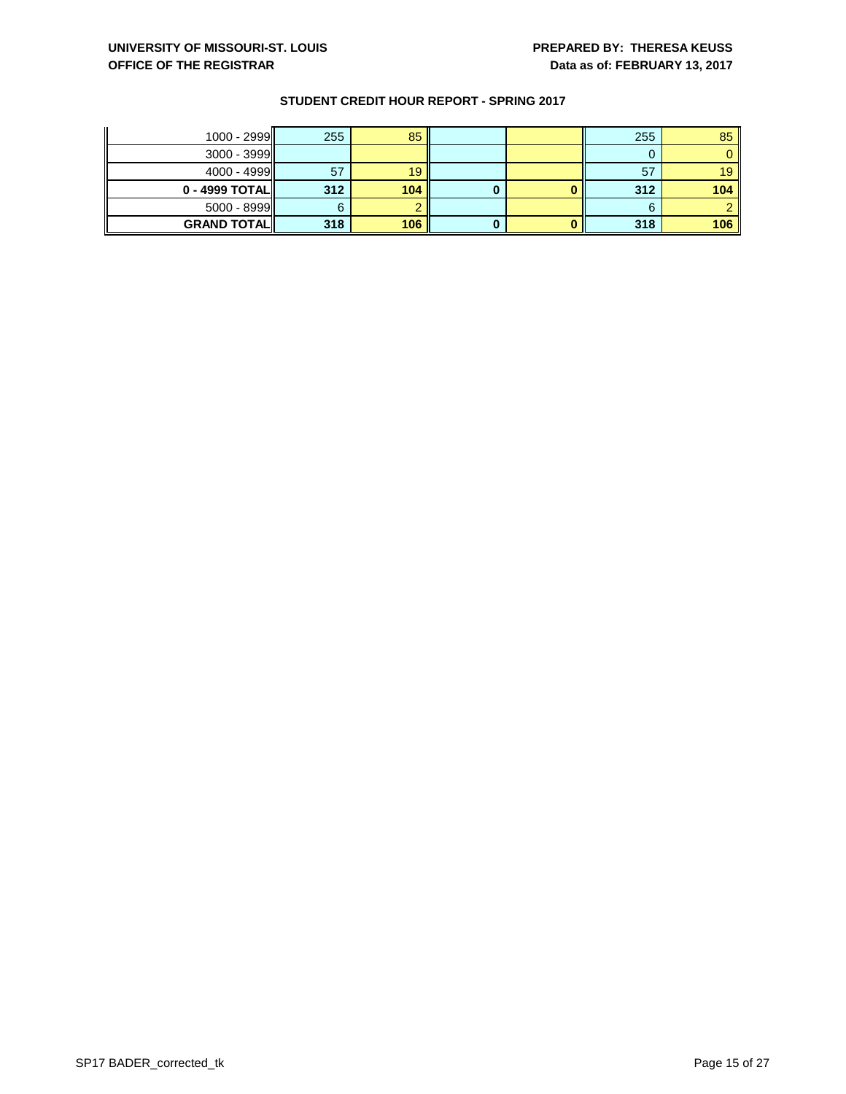# **UNIVERSITY OF MISSOURI-ST. LOUIS PREPARED BY: THERESA KEUSS**

# **OFFICE OF THE REGISTRAR DATA BY A STATE OF THE REGISTRAR DATA BY A STATE OF THE REGISTRAR**

| $1000 - 2999$       | 255 | 85  |  | 255 | 85              |
|---------------------|-----|-----|--|-----|-----------------|
| $3000 - 3999$       |     |     |  |     |                 |
| $4000 - 4999$       | 57  | 19  |  | 57  | 19 <sup>°</sup> |
| $0 - 4999$ TOTAL    | 312 | 104 |  | 312 | 104             |
| $5000 - 8999$       |     |     |  |     |                 |
| <b>GRAND TOTALI</b> | 318 | 106 |  | 318 | 106             |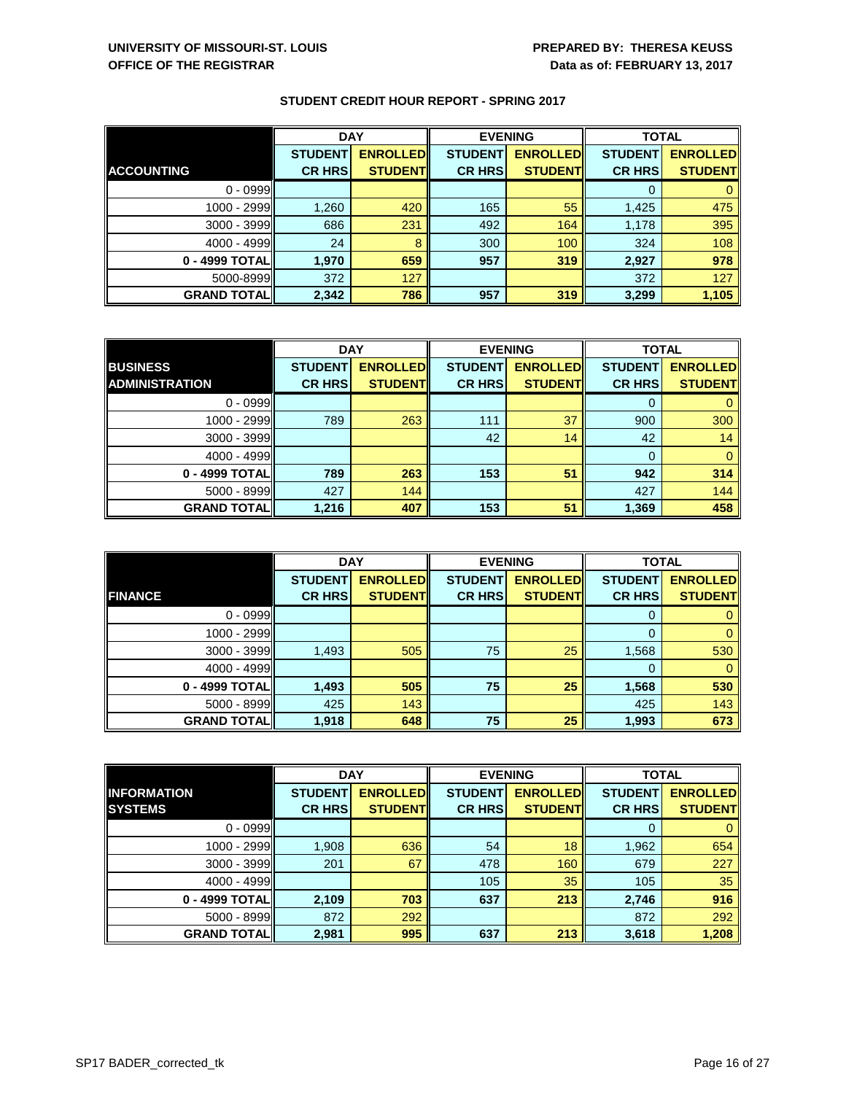|                    | <b>DAY</b>     |                 |                | <b>EVENING</b>  | <b>TOTAL</b>   |                 |
|--------------------|----------------|-----------------|----------------|-----------------|----------------|-----------------|
|                    | <b>STUDENT</b> | <b>ENROLLED</b> | <b>STUDENT</b> | <b>ENROLLED</b> | <b>STUDENT</b> | <b>ENROLLED</b> |
| <b>ACCOUNTING</b>  | <b>CR HRS</b>  | <b>STUDENT</b>  | <b>CR HRS</b>  | <b>STUDENT</b>  | <b>CR HRS</b>  | <b>STUDENT</b>  |
| $0 - 0999$         |                |                 |                |                 |                |                 |
| 1000 - 2999        | 1,260          | 420             | 165            | 55              | 1,425          | 475             |
| 3000 - 3999        | 686            | 231             | 492            | 164             | 1,178          | 395             |
| 4000 - 4999        | 24             | 8               | 300            | 100             | 324            | 108             |
| 0 - 4999 TOTAL     | 1,970          | 659             | 957            | 319             | 2,927          | 978             |
| 5000-8999          | 372            | 127             |                |                 | 372            | 127             |
| <b>GRAND TOTAL</b> | 2,342          | 786             | 957            | 319             | 3,299          | 1,105           |

|                       | <b>DAY</b>     |                 | <b>EVENING</b> |                 | <b>TOTAL</b>   |                 |
|-----------------------|----------------|-----------------|----------------|-----------------|----------------|-----------------|
| <b>BUSINESS</b>       | <b>STUDENT</b> | <b>ENROLLED</b> | <b>STUDENT</b> | <b>ENROLLED</b> | <b>STUDENT</b> | <b>ENROLLED</b> |
| <b>ADMINISTRATION</b> | <b>CR HRS</b>  | <b>STUDENT</b>  | <b>CR HRS</b>  | <b>STUDENT</b>  | <b>CR HRS</b>  | <b>STUDENT</b>  |
| $0 - 0999$            |                |                 |                |                 | 0              |                 |
| $1000 - 2999$         | 789            | 263             | 111            | 37              | 900            | 300             |
| $3000 - 3999$         |                |                 | 42             | 14              | 42             | 14              |
| $4000 - 4999$         |                |                 |                |                 | 0              |                 |
| 0 - 4999 TOTAL        | 789            | 263             | 153            | 51              | 942            | 314             |
| $5000 - 8999$         | 427            | 144             |                |                 | 427            | 144             |
| <b>GRAND TOTALI</b>   | 1,216          | 407             | 153            | 51              | 1,369          | 458             |

|                    | <b>DAY</b>     |                 |                | <b>EVENING</b>  | <b>TOTAL</b>   |                 |
|--------------------|----------------|-----------------|----------------|-----------------|----------------|-----------------|
|                    | <b>STUDENT</b> | <b>ENROLLED</b> | <b>STUDENT</b> | <b>ENROLLED</b> | <b>STUDENT</b> | <b>ENROLLED</b> |
| <b>FINANCE</b>     | <b>CR HRS</b>  | <b>STUDENT</b>  | <b>CR HRS</b>  | <b>STUDENT</b>  | <b>CR HRS</b>  | <b>STUDENT</b>  |
| $0 - 0999$         |                |                 |                |                 | 0              |                 |
| $1000 - 2999$      |                |                 |                |                 | $\Omega$       | 0               |
| 3000 - 3999        | 1,493          | 505             | 75             | 25              | 1,568          | 530             |
| 4000 - 4999        |                |                 |                |                 | 0              | 0               |
| 0 - 4999 TOTAL     | 1,493          | 505             | 75             | 25              | 1,568          | 530             |
| $5000 - 8999$      | 425            | 143             |                |                 | 425            | 143             |
| <b>GRAND TOTAL</b> | 1,918          | 648             | 75             | 25              | 1,993          | 673             |

|                    | <b>DAY</b>     |                 |                | <b>EVENING</b>  | <b>TOTAL</b>   |                 |
|--------------------|----------------|-----------------|----------------|-----------------|----------------|-----------------|
| <b>INFORMATION</b> | <b>STUDENT</b> | <b>ENROLLED</b> | <b>STUDENT</b> | <b>ENROLLED</b> | <b>STUDENT</b> | <b>ENROLLED</b> |
| <b>SYSTEMS</b>     | <b>CR HRS</b>  | <b>STUDENT</b>  | <b>CR HRS</b>  | <b>STUDENT</b>  | <b>CR HRS</b>  | <b>STUDENT</b>  |
| $0 - 0999$         |                |                 |                |                 | 0              |                 |
| $1000 - 2999$      | 1,908          | 636             | 54             | 18              | 1,962          | 654             |
| 3000 - 3999        | 201            | 67              | 478            | 160             | 679            | 227             |
| $4000 - 4999$      |                |                 | 105            | 35              | 105            | 35              |
| 0 - 4999 TOTAL     | 2,109          | 703             | 637            | 213             | 2,746          | 916             |
| 5000 - 8999        | 872            | 292             |                |                 | 872            | 292             |
| <b>GRAND TOTAL</b> | 2,981          | 995             | 637            | 213             | 3,618          | 1,208           |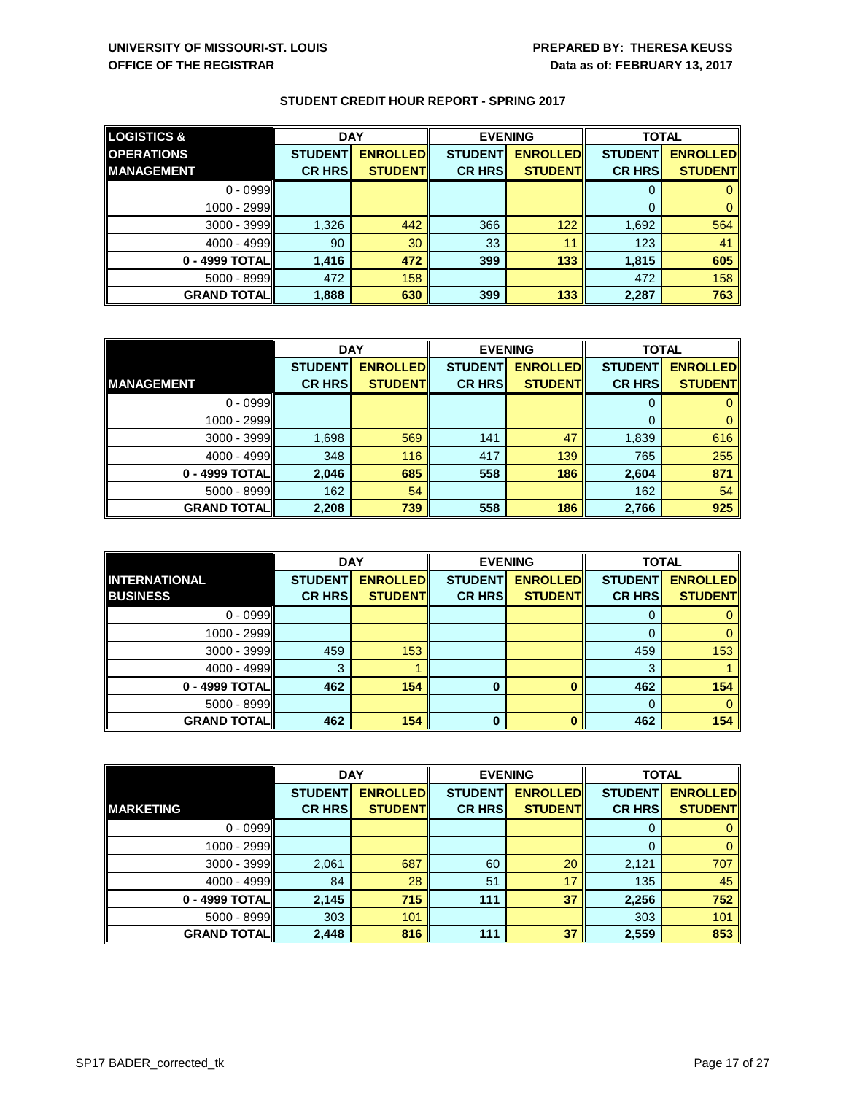| <b>LOGISTICS &amp;</b> | <b>DAY</b>     |                 | <b>EVENING</b> |                 | <b>TOTAL</b>   |                 |
|------------------------|----------------|-----------------|----------------|-----------------|----------------|-----------------|
| <b>OPERATIONS</b>      | <b>STUDENT</b> | <b>ENROLLED</b> | <b>STUDENT</b> | <b>ENROLLED</b> | <b>STUDENT</b> | <b>ENROLLED</b> |
| <b>MANAGEMENT</b>      | <b>CR HRS</b>  | <b>STUDENT</b>  | <b>CR HRS</b>  | <b>STUDENT</b>  | <b>CR HRS</b>  | <b>STUDENT</b>  |
| $0 - 0999$             |                |                 |                |                 | 0              |                 |
| $1000 - 2999$          |                |                 |                |                 | 0              |                 |
| $3000 - 3999$          | 1,326          | 442             | 366            | 122             | 1,692          | 564             |
| $4000 - 4999$          | 90             | 30              | 33             | 11              | 123            | 41              |
| $0 - 4999$ TOTAL       | 1,416          | 472             | 399            | 133             | 1,815          | 605             |
| $5000 - 8999$          | 472            | 158             |                |                 | 472            | 158             |
| <b>GRAND TOTAL</b>     | 1,888          | 630             | 399            | 133             | 2,287          | 763             |

|                    | <b>DAY</b>     |                 |                | <b>EVENING</b>  | <b>TOTAL</b>   |                 |
|--------------------|----------------|-----------------|----------------|-----------------|----------------|-----------------|
|                    | <b>STUDENT</b> | <b>ENROLLED</b> | <b>STUDENT</b> | <b>ENROLLED</b> | <b>STUDENT</b> | <b>ENROLLED</b> |
| <b>MANAGEMENT</b>  | <b>CR HRS</b>  | <b>STUDENT</b>  | <b>CR HRS</b>  | <b>STUDENT</b>  | <b>CR HRS</b>  | <b>STUDENT</b>  |
| $0 - 0999$         |                |                 |                |                 | 0              |                 |
| 1000 - 2999        |                |                 |                |                 | 0              |                 |
| $3000 - 3999$      | 1,698          | 569             | 141            | 47              | 1,839          | 616             |
| 4000 - 4999        | 348            | 116             | 417            | 139             | 765            | 255             |
| 0 - 4999 TOTAL     | 2,046          | 685             | 558            | 186             | 2,604          | 871             |
| $5000 - 8999$      | 162            | 54              |                |                 | 162            | 54              |
| <b>GRAND TOTAL</b> | 2,208          | 739             | 558            | 186             | 2,766          | 925             |

|                      | <b>DAY</b>     |                 | <b>EVENING</b> |                 | <b>TOTAL</b>   |                 |
|----------------------|----------------|-----------------|----------------|-----------------|----------------|-----------------|
| <b>INTERNATIONAL</b> | <b>STUDENT</b> | <b>ENROLLED</b> | <b>STUDENT</b> | <b>ENROLLED</b> | <b>STUDENT</b> | <b>ENROLLED</b> |
| <b>BUSINESS</b>      | <b>CR HRS</b>  | <b>STUDENT</b>  | <b>CR HRS</b>  | <b>STUDENT</b>  | <b>CR HRS</b>  | <b>STUDENT</b>  |
| $0 - 0999$           |                |                 |                |                 | O              |                 |
| $1000 - 2999$        |                |                 |                |                 | 0              | 0               |
| $3000 - 3999$        | 459            | 153             |                |                 | 459            | 153             |
| $4000 - 4999$        | $\mathbf{3}$   |                 |                |                 | 3              |                 |
| 0 - 4999 TOTAL       | 462            | 154             | 0              |                 | 462            | 154             |
| $5000 - 8999$        |                |                 |                |                 | 0              | $\Omega$        |
| <b>GRAND TOTAL</b>   | 462            | 154             | $\bf{0}$       |                 | 462            | 154             |

|                    | <b>DAY</b>     |                 |                | <b>EVENING</b>  | <b>TOTAL</b>   |                 |
|--------------------|----------------|-----------------|----------------|-----------------|----------------|-----------------|
|                    | <b>STUDENT</b> | <b>ENROLLED</b> | <b>STUDENT</b> | <b>ENROLLED</b> | <b>STUDENT</b> | <b>ENROLLED</b> |
| <b>MARKETING</b>   | <b>CR HRS</b>  | <b>STUDENT</b>  | <b>CR HRS</b>  | <b>STUDENT</b>  | <b>CR HRS</b>  | <b>STUDENT</b>  |
| $0 - 0999$         |                |                 |                |                 | 0              | $\mathbf{0}$    |
| 1000 - 2999        |                |                 |                |                 | 0              | $\mathbf{0}$    |
| $3000 - 3999$      | 2,061          | 687             | 60             | 20              | 2,121          | 707             |
| $4000 - 4999$      | 84             | 28              | 51             | 17              | 135            | 45              |
| $0 - 4999$ TOTAL   | 2,145          | 715             | 111            | 37              | 2,256          | 752             |
| $5000 - 8999$      | 303            | 101             |                |                 | 303            | 101             |
| <b>GRAND TOTAL</b> | 2,448          | 816             | 111            | 37              | 2,559          | 853             |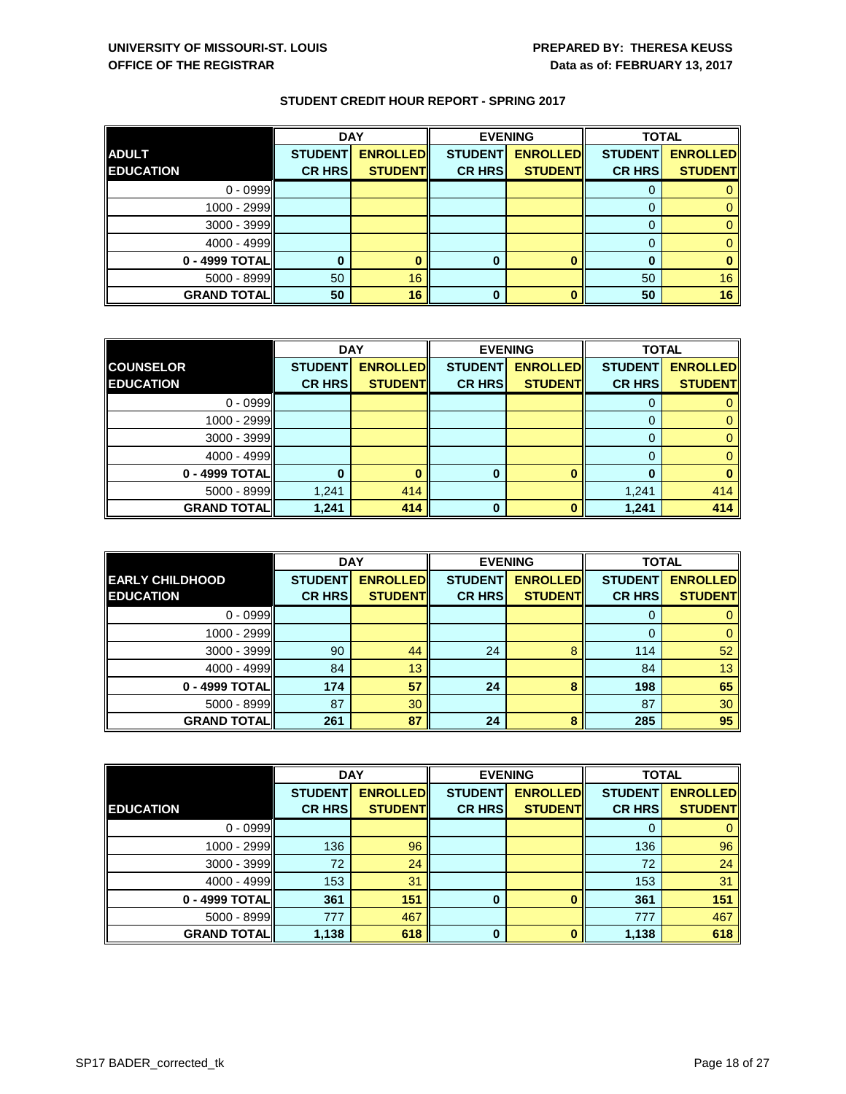|                    | <b>DAY</b>     |                 |                | <b>EVENING</b>  | <b>TOTAL</b>   |                 |
|--------------------|----------------|-----------------|----------------|-----------------|----------------|-----------------|
| <b>ADULT</b>       | <b>STUDENT</b> | <b>ENROLLED</b> | <b>STUDENT</b> | <b>ENROLLED</b> | <b>STUDENT</b> | <b>ENROLLED</b> |
| <b>EDUCATION</b>   | <b>CR HRS</b>  | <b>STUDENT</b>  | <b>CR HRS</b>  | <b>STUDENT</b>  | <b>CR HRS</b>  | <b>STUDENT</b>  |
| $0 - 0999$         |                |                 |                |                 |                |                 |
| $1000 - 2999$      |                |                 |                |                 |                |                 |
| $3000 - 3999$      |                |                 |                |                 |                |                 |
| $4000 - 4999$      |                |                 |                |                 |                |                 |
| 0 - 4999 TOTAL     |                |                 | 0              |                 |                |                 |
| $5000 - 8999$      | 50             | 16              |                |                 | 50             | 16              |
| <b>GRAND TOTAL</b> | 50             | 16              | 0              |                 | 50             | 16              |

|                    | <b>DAY</b>     |                 |                | <b>EVENING</b>  | <b>TOTAL</b>   |                 |
|--------------------|----------------|-----------------|----------------|-----------------|----------------|-----------------|
| <b>COUNSELOR</b>   | <b>STUDENT</b> | <b>ENROLLED</b> | <b>STUDENT</b> | <b>ENROLLED</b> | <b>STUDENT</b> | <b>ENROLLED</b> |
| <b>EDUCATION</b>   | <b>CR HRS</b>  | <b>STUDENT</b>  | <b>CR HRS</b>  | <b>STUDENT</b>  | <b>CR HRS</b>  | <b>STUDENT</b>  |
| $0 - 0999$         |                |                 |                |                 | 0              |                 |
| $1000 - 2999$      |                |                 |                |                 | 0              |                 |
| $3000 - 3999$      |                |                 |                |                 | 0              |                 |
| $4000 - 4999$      |                |                 |                |                 | 0              |                 |
| 0 - 4999 TOTAL     |                |                 | 0              |                 | $\bf{0}$       |                 |
| $5000 - 8999$      | 1,241          | 414             |                |                 | 1,241          | 414             |
| <b>GRAND TOTAL</b> | 1,241          | 414             | $\bf{0}$       |                 | 1,241          | 414             |

|                        | <b>DAY</b>     |                 |                | <b>EVENING</b>  | <b>TOTAL</b>   |                 |
|------------------------|----------------|-----------------|----------------|-----------------|----------------|-----------------|
| <b>EARLY CHILDHOOD</b> | <b>STUDENT</b> | <b>ENROLLED</b> | <b>STUDENT</b> | <b>ENROLLED</b> | <b>STUDENT</b> | <b>ENROLLED</b> |
| <b>EDUCATION</b>       | <b>CR HRS</b>  | <b>STUDENT</b>  | <b>CR HRS</b>  | <b>STUDENT</b>  | <b>CR HRS</b>  | <b>STUDENT</b>  |
| $0 - 0999$             |                |                 |                |                 | U              |                 |
| 1000 - 2999            |                |                 |                |                 | $\Omega$       | 0               |
| 3000 - 3999            | 90             | 44              | 24             | 8               | 114            | 52              |
| 4000 - 4999            | 84             | 13              |                |                 | 84             | 13              |
| 0 - 4999 TOTAL         | 174            | 57              | 24             | 8               | 198            | 65              |
| 5000 - 8999            | 87             | 30              |                |                 | 87             | 30              |
| <b>GRAND TOTAL</b>     | 261            | 87              | 24             | 8               | 285            | 95              |

|                    | <b>DAY</b>     |                 |                | <b>EVENING</b>  | <b>TOTAL</b>   |                 |
|--------------------|----------------|-----------------|----------------|-----------------|----------------|-----------------|
|                    | <b>STUDENT</b> | <b>ENROLLED</b> | <b>STUDENT</b> | <b>ENROLLED</b> | <b>STUDENT</b> | <b>ENROLLED</b> |
| <b>EDUCATION</b>   | <b>CR HRS</b>  | <b>STUDENT</b>  | <b>CR HRS</b>  | <b>STUDENT</b>  | <b>CR HRS</b>  | <b>STUDENT</b>  |
| $0 - 0999$         |                |                 |                |                 | 0              | 0               |
| 1000 - 2999        | 136            | 96              |                |                 | 136            | 96              |
| 3000 - 3999        | 72             | 24              |                |                 | 72             | 24              |
| 4000 - 4999        | 153            | 31              |                |                 | 153            | 31              |
| 0 - 4999 TOTAL     | 361            | 151             | $\bf{0}$       | O               | 361            | 151             |
| 5000 - 8999        | 777            | 467             |                |                 | 777            | 467             |
| <b>GRAND TOTAL</b> | 1,138          | 618             | $\bf{0}$       | n               | 1,138          | 618             |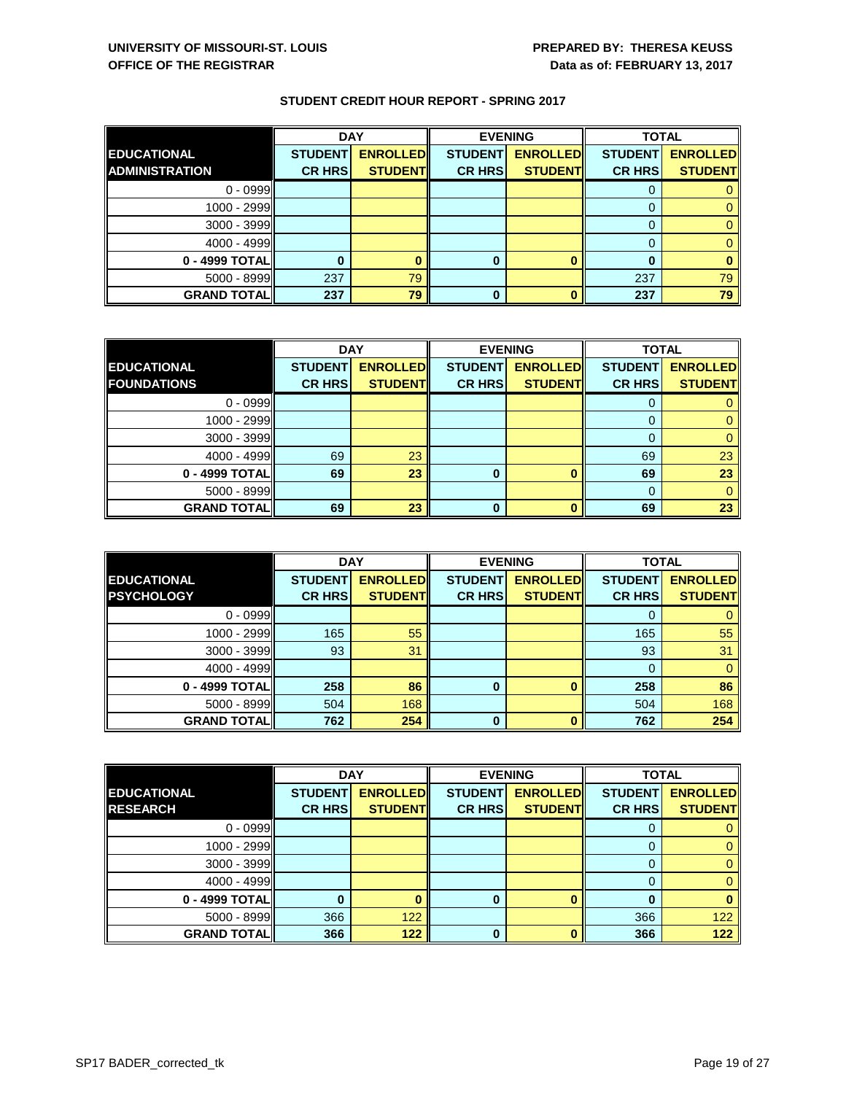|                       | <b>DAY</b>     |                 | <b>EVENING</b> |                 | <b>TOTAL</b>   |                 |
|-----------------------|----------------|-----------------|----------------|-----------------|----------------|-----------------|
| <b>EDUCATIONAL</b>    | <b>STUDENT</b> | <b>ENROLLED</b> | <b>STUDENT</b> | <b>ENROLLED</b> | <b>STUDENT</b> | <b>ENROLLED</b> |
| <b>ADMINISTRATION</b> | <b>CR HRS</b>  | <b>STUDENT</b>  | <b>CR HRS</b>  | <b>STUDENT</b>  | <b>CR HRS</b>  | <b>STUDENT</b>  |
| $0 - 0999$            |                |                 |                |                 |                |                 |
| 1000 - 2999           |                |                 |                |                 |                |                 |
| 3000 - 3999           |                |                 |                |                 |                |                 |
| 4000 - 4999           |                |                 |                |                 |                |                 |
| 0 - 4999 TOTAL        |                |                 |                |                 |                |                 |
| 5000 - 8999           | 237            | 79              |                |                 | 237            | 79              |
| <b>GRAND TOTAL</b>    | 237            | 79              | 0              |                 | 237            | 79              |

|                    | <b>DAY</b>     |                 | <b>EVENING</b> |                 | <b>TOTAL</b>   |                 |
|--------------------|----------------|-----------------|----------------|-----------------|----------------|-----------------|
| <b>EDUCATIONAL</b> | <b>STUDENT</b> | <b>ENROLLED</b> | <b>STUDENT</b> | <b>ENROLLED</b> | <b>STUDENT</b> | <b>ENROLLED</b> |
| <b>FOUNDATIONS</b> | <b>CR HRS</b>  | <b>STUDENT</b>  | <b>CR HRS</b>  | <b>STUDENT</b>  | <b>CR HRS</b>  | <b>STUDENT</b>  |
| $0 - 0999$         |                |                 |                |                 | O              |                 |
| $1000 - 2999$      |                |                 |                |                 | O              |                 |
| $3000 - 3999$      |                |                 |                |                 | 0              |                 |
| $4000 - 4999$      | 69             | 23              |                |                 | 69             | 23              |
| 0 - 4999 TOTAL     | 69             | 23              | 0              |                 | 69             | 23              |
| $5000 - 8999$      |                |                 |                |                 | 0              |                 |
| <b>GRAND TOTAL</b> | 69             | 23              | $\bf{0}$       |                 | 69             | 23              |

|                    | <b>DAY</b>     |                 |                | <b>EVENING</b>  | <b>TOTAL</b>   |                 |
|--------------------|----------------|-----------------|----------------|-----------------|----------------|-----------------|
| <b>EDUCATIONAL</b> | <b>STUDENT</b> | <b>ENROLLED</b> | <b>STUDENT</b> | <b>ENROLLED</b> | <b>STUDENT</b> | <b>ENROLLED</b> |
| <b>PSYCHOLOGY</b>  | <b>CR HRS</b>  | <b>STUDENT</b>  | <b>CR HRS</b>  | <b>STUDENT</b>  | <b>CR HRS</b>  | <b>STUDENT</b>  |
| $0 - 0999$         |                |                 |                |                 |                |                 |
| $1000 - 2999$      | 165            | 55              |                |                 | 165            | 55              |
| 3000 - 3999        | 93             | 31              |                |                 | 93             | 31              |
| 4000 - 4999        |                |                 |                |                 | 0              | $\mathbf{0}$    |
| 0 - 4999 TOTAL     | 258            | 86              | $\bf{0}$       |                 | 258            | 86              |
| $5000 - 8999$      | 504            | 168             |                |                 | 504            | 168             |
| <b>GRAND TOTAL</b> | 762            | 254             | $\bf{0}$       |                 | 762            | 254             |

|                    | <b>DAY</b>     |                 |                | <b>EVENING</b>  | <b>TOTAL</b>   |                 |
|--------------------|----------------|-----------------|----------------|-----------------|----------------|-----------------|
| <b>EDUCATIONAL</b> | <b>STUDENT</b> | <b>ENROLLED</b> | <b>STUDENT</b> | <b>ENROLLED</b> | <b>STUDENT</b> | <b>ENROLLED</b> |
| <b>RESEARCH</b>    | <b>CR HRS</b>  | <b>STUDENT</b>  | <b>CR HRS</b>  | <b>STUDENT</b>  | <b>CR HRS</b>  | <b>STUDENT</b>  |
| $0 - 0999$         |                |                 |                |                 | 0              |                 |
| $1000 - 2999$      |                |                 |                |                 |                |                 |
| $3000 - 3999$      |                |                 |                |                 | 0              |                 |
| $4000 - 4999$      |                |                 |                |                 | 0              |                 |
| 0 - 4999 TOTAL     |                |                 | 0              |                 | 0              |                 |
| $5000 - 8999$      | 366            | 122             |                |                 | 366            | 122             |
| <b>GRAND TOTAL</b> | 366            | 122             | 0              |                 | 366            | 122             |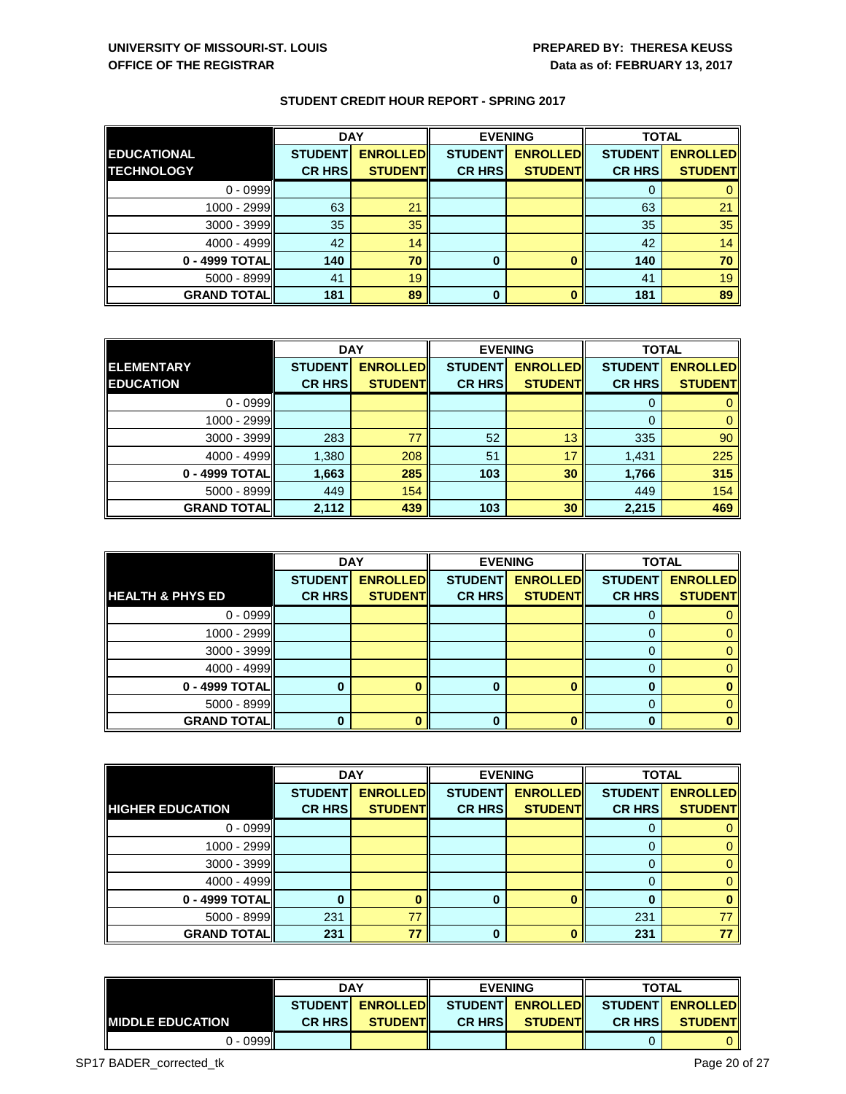|                    | <b>DAY</b>     |                 |                | <b>EVENING</b>  | <b>TOTAL</b>   |                 |
|--------------------|----------------|-----------------|----------------|-----------------|----------------|-----------------|
| <b>EDUCATIONAL</b> | <b>STUDENT</b> | <b>ENROLLED</b> | <b>STUDENT</b> | <b>ENROLLED</b> | <b>STUDENT</b> | <b>ENROLLED</b> |
| <b>TECHNOLOGY</b>  | <b>CR HRS</b>  | <b>STUDENT</b>  | <b>CR HRS</b>  | <b>STUDENT</b>  | <b>CR HRS</b>  | <b>STUDENT</b>  |
| $0 - 0999$         |                |                 |                |                 | 0              |                 |
| $1000 - 2999$      | 63             | 21              |                |                 | 63             | 21              |
| 3000 - 3999        | 35             | 35              |                |                 | 35             | 35              |
| $4000 - 4999$      | 42             | 14              |                |                 | 42             | 14              |
| 0 - 4999 TOTAL     | 140            | 70              | $\bf{0}$       | Ω               | 140            | 70              |
| $5000 - 8999$      | 41             | 19              |                |                 | 41             | 19              |
| <b>GRAND TOTAL</b> | 181            | 89              | 0              |                 | 181            | 89              |

|                    | <b>DAY</b>     |                 | <b>EVENING</b> |                 | <b>TOTAL</b>   |                 |
|--------------------|----------------|-----------------|----------------|-----------------|----------------|-----------------|
| <b>ELEMENTARY</b>  | <b>STUDENT</b> | <b>ENROLLED</b> | <b>STUDENT</b> | <b>ENROLLED</b> | <b>STUDENT</b> | <b>ENROLLED</b> |
| <b>EDUCATION</b>   | <b>CR HRS</b>  | <b>STUDENT</b>  | <b>CR HRS</b>  | <b>STUDENT</b>  | <b>CR HRS</b>  | <b>STUDENT</b>  |
| $0 - 0999$         |                |                 |                |                 | 0              |                 |
| $1000 - 2999$      |                |                 |                |                 | 0              |                 |
| $3000 - 3999$      | 283            | 77              | 52             | 13              | 335            | 90              |
| $4000 - 4999$      | 1,380          | 208             | 51             | 17              | 1,431          | 225             |
| 0 - 4999 TOTAL     | 1,663          | 285             | 103            | 30              | 1,766          | 315             |
| $5000 - 8999$      | 449            | 154             |                |                 | 449            | 154             |
| <b>GRAND TOTAL</b> | 2,112          | 439             | 103            | 30 <sup>°</sup> | 2,215          | 469             |

|                             | <b>DAY</b>     |                 |                | <b>EVENING</b>  | <b>TOTAL</b>   |                 |
|-----------------------------|----------------|-----------------|----------------|-----------------|----------------|-----------------|
|                             | <b>STUDENT</b> | <b>ENROLLED</b> | <b>STUDENT</b> | <b>ENROLLED</b> | <b>STUDENT</b> | <b>ENROLLED</b> |
| <b>HEALTH &amp; PHYS ED</b> | <b>CR HRS</b>  | <b>STUDENT</b>  | <b>CR HRS</b>  | <b>STUDENT</b>  | <b>CR HRS</b>  | <b>STUDENT</b>  |
| $0 - 0999$                  |                |                 |                |                 |                |                 |
| 1000 - 2999                 |                |                 |                |                 |                | 0               |
| 3000 - 3999                 |                |                 |                |                 | O              | 0               |
| 4000 - 4999                 |                |                 |                |                 | 0              | 0               |
| $0 - 4999$ TOTAL            |                |                 | 0              |                 | $\bf{0}$       |                 |
| 5000 - 8999                 |                |                 |                |                 | 0              | 0               |
| <b>GRAND TOTAL</b>          |                |                 | 0              |                 | O              | 0               |

|                         | <b>DAY</b>     |                 |                | <b>EVENING</b>  | <b>TOTAL</b>   |                 |
|-------------------------|----------------|-----------------|----------------|-----------------|----------------|-----------------|
|                         | <b>STUDENT</b> | <b>ENROLLED</b> | <b>STUDENT</b> | <b>ENROLLED</b> | <b>STUDENT</b> | <b>ENROLLED</b> |
| <b>HIGHER EDUCATION</b> | <b>CR HRS</b>  | <b>STUDENT</b>  | <b>CR HRS</b>  | <b>STUDENT</b>  | <b>CR HRS</b>  | <b>STUDENT</b>  |
| $0 - 0999$              |                |                 |                |                 |                |                 |
| 1000 - 2999             |                |                 |                |                 |                | $\overline{0}$  |
| $3000 - 3999$           |                |                 |                |                 |                | 0               |
| 4000 - 4999             |                |                 |                |                 |                | $\mathbf{0}$    |
| $0 - 4999$ TOTAL        |                |                 | 0              |                 |                | $\bf{0}$        |
| $5000 - 8999$           | 231            | 77              |                |                 | 231            | 77              |
| <b>GRAND TOTAL</b>      | 231            | 77              | $\mathbf{0}$   |                 | 231            | 77              |

|                                                    | <b>DAY</b>     |                 | <b>EVENING</b> |                  | <b>TOTAL</b>   |                |
|----------------------------------------------------|----------------|-----------------|----------------|------------------|----------------|----------------|
| STUDENT ENROLLED STUDENT ENROLLED STUDENT ENROLLED |                |                 |                |                  |                |                |
| <b>IMIDDLE EDUCATION</b>                           | <b>CR HRSI</b> | <b>STUDENTI</b> | <b>CR HRSI</b> | <b>STUDENTIL</b> | <b>CR HRSI</b> | <b>STUDENT</b> |
| 0 - 0999l <mark>l</mark>                           |                |                 |                |                  |                |                |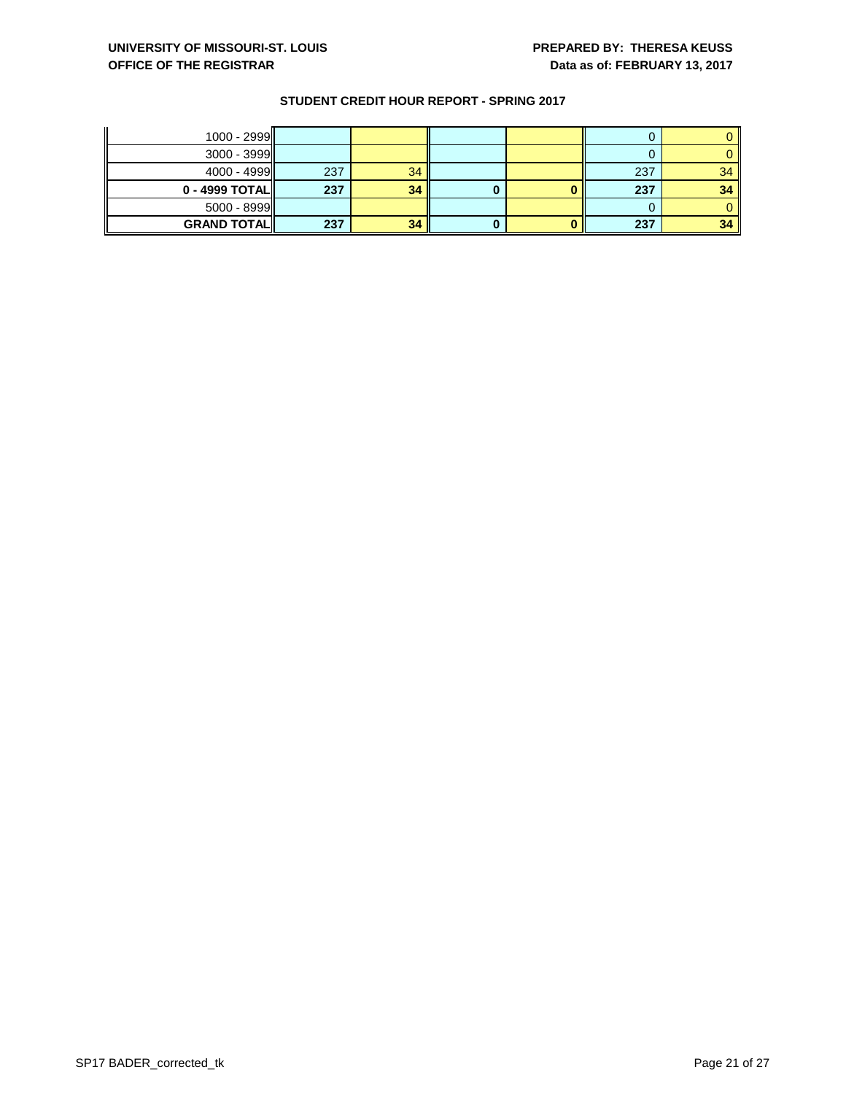# **UNIVERSITY OF MISSOURI-ST. LOUIS PREPARED BY: THERESA KEUSS OFFICE OF THE REGISTRAR DATA BY A STATE OF THE REGISTRAR DATA BY A STATE OF THE REGISTRAR**

| Π<br>$1000 - 2999$ |     |    |  |     |    |
|--------------------|-----|----|--|-----|----|
| $3000 - 3999$      |     |    |  |     |    |
| $4000 - 4999$      | 237 | 34 |  | 237 | 21 |
| $0 - 4999$ TOTAL   | 237 | 34 |  | 237 | 34 |
| $5000 - 8999$      |     |    |  |     |    |
| <b>GRAND TOTAL</b> | 237 | 34 |  | 237 |    |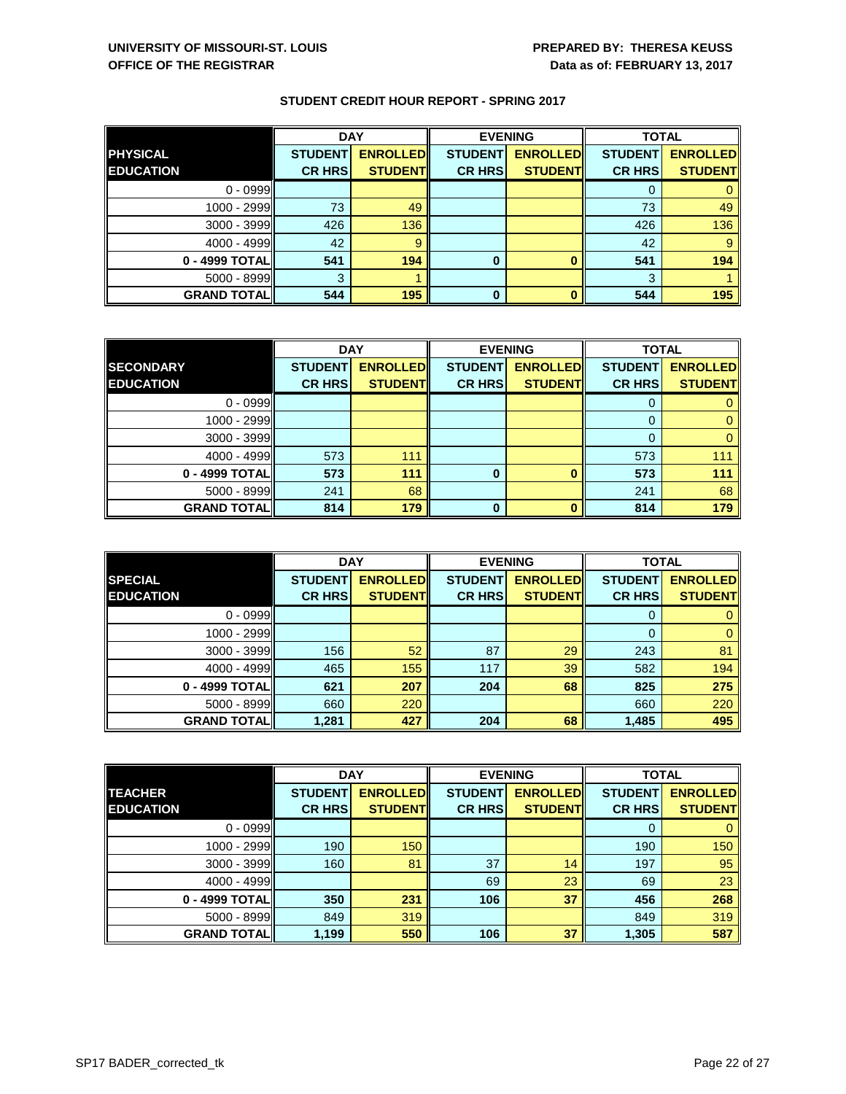|                    | <b>DAY</b>     |                 |                | <b>EVENING</b>  | <b>TOTAL</b>   |                 |
|--------------------|----------------|-----------------|----------------|-----------------|----------------|-----------------|
| <b>PHYSICAL</b>    | <b>STUDENT</b> | <b>ENROLLED</b> | <b>STUDENT</b> | <b>ENROLLED</b> | <b>STUDENT</b> | <b>ENROLLED</b> |
| <b>EDUCATION</b>   | <b>CR HRS</b>  | <b>STUDENT</b>  | <b>CR HRS</b>  | <b>STUDENT</b>  | <b>CR HRS</b>  | <b>STUDENT</b>  |
| $0 - 0999$         |                |                 |                |                 |                |                 |
| 1000 - 2999        | 73             | 49              |                |                 | 73             | 49              |
| 3000 - 3999        | 426            | 136             |                |                 | 426            | 136             |
| 4000 - 4999        | 42             | 9               |                |                 | 42             |                 |
| 0 - 4999 TOTAL     | 541            | 194             | 0              |                 | 541            | 194             |
| 5000 - 8999        | 3              |                 |                |                 | 3              |                 |
| <b>GRAND TOTAL</b> | 544            | 195             | 0              |                 | 544            | 195             |

|                    | <b>DAY</b>     |                 | <b>EVENING</b> |                 | <b>TOTAL</b>   |                 |
|--------------------|----------------|-----------------|----------------|-----------------|----------------|-----------------|
| <b>SECONDARY</b>   | <b>STUDENT</b> | <b>ENROLLED</b> | <b>STUDENT</b> | <b>ENROLLED</b> | <b>STUDENT</b> | <b>ENROLLED</b> |
| <b>EDUCATION</b>   | <b>CR HRS</b>  | <b>STUDENT</b>  | <b>CR HRS</b>  | <b>STUDENT</b>  | <b>CR HRS</b>  | <b>STUDENT</b>  |
| $0 - 0999$         |                |                 |                |                 | O              |                 |
| $1000 - 2999$      |                |                 |                |                 | 0              |                 |
| $3000 - 3999$      |                |                 |                |                 |                |                 |
| $4000 - 4999$      | 573            | 111             |                |                 | 573            | 111             |
| 0 - 4999 TOTAL     | 573            | 111             | 0              |                 | 573            | 111             |
| $5000 - 8999$      | 241            | 68              |                |                 | 241            | 68              |
| <b>GRAND TOTAL</b> | 814            | 179             | $\bf{0}$       |                 | 814            | 179             |

|                    | <b>DAY</b>     |                 |                | <b>EVENING</b>  | <b>TOTAL</b>   |                 |
|--------------------|----------------|-----------------|----------------|-----------------|----------------|-----------------|
| <b>SPECIAL</b>     | <b>STUDENT</b> | <b>ENROLLED</b> | <b>STUDENT</b> | <b>ENROLLED</b> | <b>STUDENT</b> | <b>ENROLLED</b> |
| <b>EDUCATION</b>   | <b>CR HRS</b>  | <b>STUDENT</b>  | <b>CR HRS</b>  | <b>STUDENT</b>  | <b>CR HRS</b>  | <b>STUDENT</b>  |
| $0 - 0999$         |                |                 |                |                 | O              |                 |
| $1000 - 2999$      |                |                 |                |                 | $\Omega$       | $\mathbf 0$     |
| 3000 - 3999        | 156            | 52              | 87             | 29              | 243            | 81              |
| 4000 - 4999        | 465            | 155             | 117            | 39              | 582            | 194             |
| 0 - 4999 TOTAL     | 621            | 207             | 204            | 68              | 825            | 275             |
| $5000 - 8999$      | 660            | 220             |                |                 | 660            | 220             |
| <b>GRAND TOTAL</b> | 1,281          | 427             | 204            | 68              | 1,485          | 495             |

|                    | <b>DAY</b>     |                 |                | <b>EVENING</b>  | <b>TOTAL</b>   |                 |
|--------------------|----------------|-----------------|----------------|-----------------|----------------|-----------------|
| <b>TEACHER</b>     | <b>STUDENT</b> | <b>ENROLLED</b> | <b>STUDENT</b> | <b>ENROLLED</b> | <b>STUDENT</b> | <b>ENROLLED</b> |
| <b>EDUCATION</b>   | <b>CR HRS</b>  | <b>STUDENT</b>  | <b>CR HRS</b>  | <b>STUDENT</b>  | <b>CR HRS</b>  | <b>STUDENT</b>  |
| $0 - 0999$         |                |                 |                |                 | 0              | 0               |
| 1000 - 2999        | 190            | 150             |                |                 | 190            | 150             |
| $3000 - 3999$      | 160            | 81              | 37             | 14              | 197            | 95              |
| $4000 - 4999$      |                |                 | 69             | 23              | 69             | 23              |
| 0 - 4999 TOTAL     | 350            | 231             | 106            | 37              | 456            | 268             |
| $5000 - 8999$      | 849            | 319             |                |                 | 849            | 319             |
| <b>GRAND TOTAL</b> | 1,199          | 550             | 106            | 37              | 1,305          | 587             |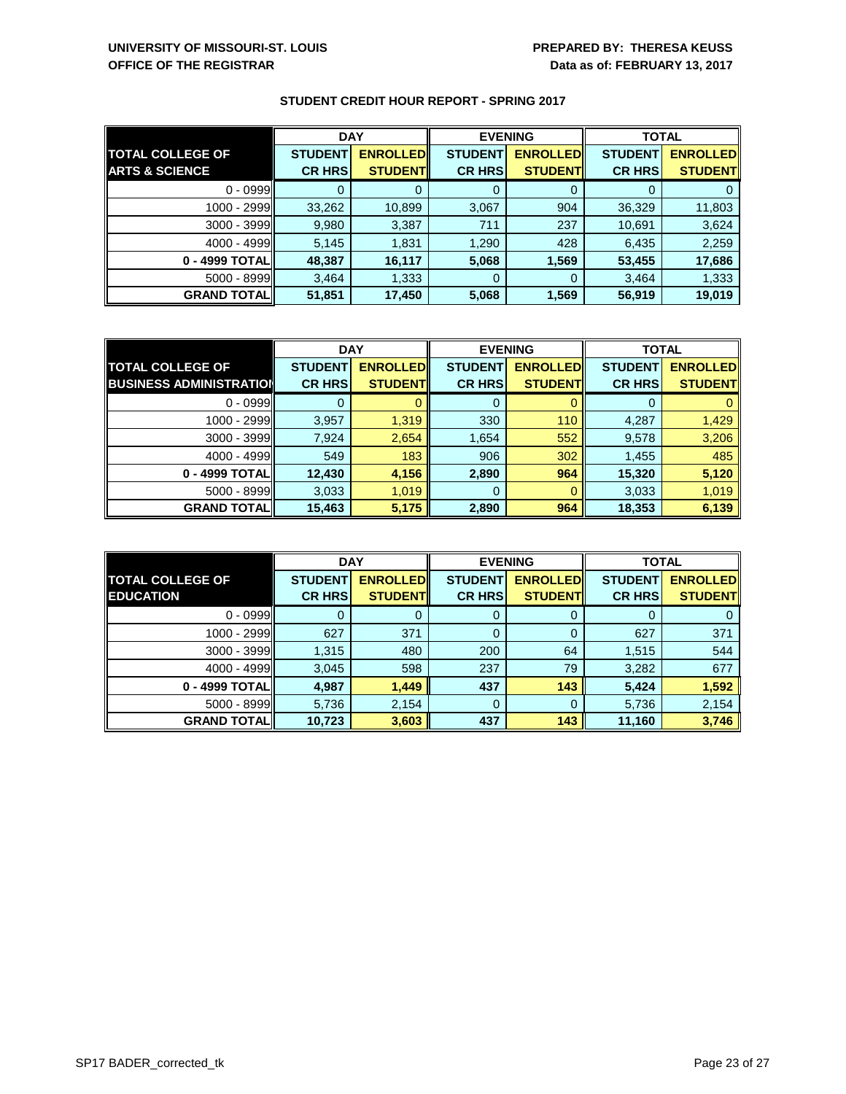|                           | <b>DAY</b>     |                 | <b>EVENING</b> |                 | <b>TOTAL</b>   |                 |
|---------------------------|----------------|-----------------|----------------|-----------------|----------------|-----------------|
| <b>TOTAL COLLEGE OF</b>   | <b>STUDENT</b> | <b>ENROLLED</b> | <b>STUDENT</b> | <b>ENROLLED</b> | <b>STUDENT</b> | <b>ENROLLED</b> |
| <b>ARTS &amp; SCIENCE</b> | <b>CR HRS</b>  | <b>STUDENT</b>  | <b>CR HRS</b>  | <b>STUDENT</b>  | <b>CR HRS</b>  | <b>STUDENT</b>  |
| $0 - 0999$                |                |                 |                |                 |                |                 |
| 1000 - 2999               | 33,262         | 10,899          | 3,067          | 904             | 36,329         | 11,803          |
| $3000 - 3999$             | 9,980          | 3,387           | 711            | 237             | 10,691         | 3,624           |
| 4000 - 4999               | 5,145          | 1,831           | 1,290          | 428             | 6,435          | 2,259           |
| 0 - 4999 TOTAL            | 48,387         | 16,117          | 5,068          | 1,569           | 53,455         | 17,686          |
| 5000 - 8999               | 3,464          | 1,333           |                |                 | 3,464          | 1,333           |
| <b>GRAND TOTAL</b>        | 51,851         | 17,450          | 5,068          | 1,569           | 56,919         | 19,019          |

|                                | <b>DAY</b>     |                 | <b>EVENING</b> |                 | <b>TOTAL</b>   |                 |
|--------------------------------|----------------|-----------------|----------------|-----------------|----------------|-----------------|
| <b>TOTAL COLLEGE OF</b>        | <b>STUDENT</b> | <b>ENROLLED</b> | <b>STUDENT</b> | <b>ENROLLED</b> | <b>STUDENT</b> | <b>ENROLLED</b> |
| <b>BUSINESS ADMINISTRATIOI</b> | <b>CR HRS</b>  | <b>STUDENT</b>  | <b>CR HRS</b>  | <b>STUDENT</b>  | <b>CR HRS</b>  | <b>STUDENT</b>  |
| $0 - 0999$                     |                |                 |                |                 |                |                 |
| $1000 - 2999$                  | 3,957          | 1,319           | 330            | 110             | 4,287          | 1,429           |
| $3000 - 3999$                  | 7,924          | 2,654           | 1,654          | 552             | 9,578          | 3,206           |
| $4000 - 4999$                  | 549            | 183             | 906            | 302             | 1,455          | 485             |
| $0 - 4999$ TOTAL               | 12,430         | 4,156           | 2,890          | 964             | 15,320         | 5,120           |
| $5000 - 8999$                  | 3,033          | 1,019           | 0              |                 | 3,033          | 1,019           |
| <b>GRAND TOTAL</b>             | 15,463         | 5,175           | 2,890          | 964             | 18,353         | 6,139           |

|                         | <b>DAY</b>     |                 |                | <b>EVENING</b>  | <b>TOTAL</b>   |                 |
|-------------------------|----------------|-----------------|----------------|-----------------|----------------|-----------------|
| <b>TOTAL COLLEGE OF</b> | <b>STUDENT</b> | <b>ENROLLED</b> | <b>STUDENT</b> | <b>ENROLLED</b> | <b>STUDENT</b> | <b>ENROLLED</b> |
| <b>EDUCATION</b>        | <b>CR HRS</b>  | <b>STUDENT</b>  | <b>CR HRS</b>  | <b>STUDENT</b>  | <b>CR HRS</b>  | <b>STUDENT</b>  |
| $0 - 0999$              |                |                 | 0              |                 |                |                 |
| $1000 - 2999$           | 627            | 371             | 0              | 0               | 627            | 371             |
| $3000 - 3999$           | 1,315          | 480             | 200            | 64              | 1,515          | 544             |
| $4000 - 4999$           | 3,045          | 598             | 237            | 79              | 3,282          | 677             |
| 0 - 4999 TOTAL          | 4,987          | 1,449           | 437            | 143             | 5,424          | 1,592           |
| $5000 - 8999$           | 5,736          | 2,154           | 0              |                 | 5,736          | 2,154           |
| <b>GRAND TOTAL</b>      | 10,723         | 3,603           | 437            | 143             | 11,160         | 3,746           |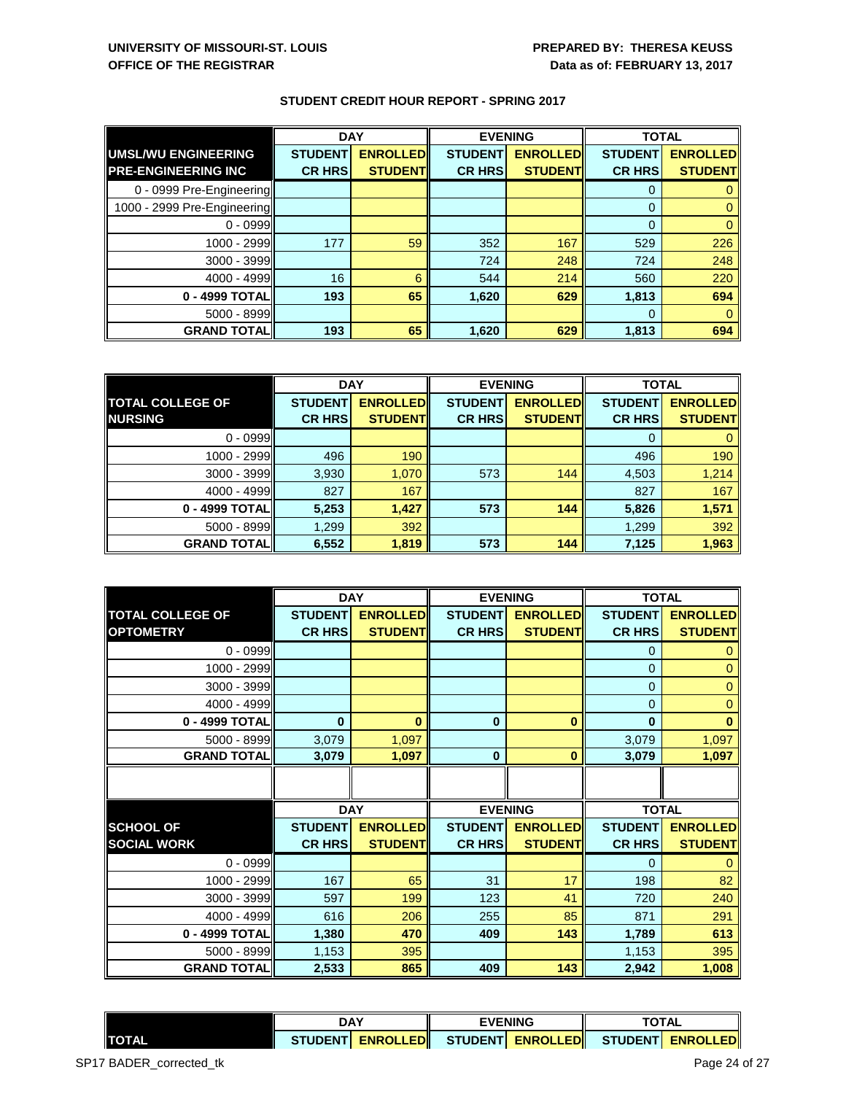|                             | <b>DAY</b>     |                 | <b>EVENING</b> |                 | <b>TOTAL</b>   |                 |
|-----------------------------|----------------|-----------------|----------------|-----------------|----------------|-----------------|
| UMSL/WU ENGINEERING         | <b>STUDENT</b> | <b>ENROLLED</b> | <b>STUDENT</b> | <b>ENROLLED</b> | <b>STUDENT</b> | <b>ENROLLED</b> |
| <b>PRE-ENGINEERING INC</b>  | <b>CR HRS</b>  | <b>STUDENT</b>  | <b>CR HRS</b>  | <b>STUDENT</b>  | <b>CR HRS</b>  | <b>STUDENT</b>  |
| 0 - 0999 Pre-Engineering    |                |                 |                |                 | 0              |                 |
| 1000 - 2999 Pre-Engineering |                |                 |                |                 | $\overline{0}$ |                 |
| $0 - 0999$                  |                |                 |                |                 | $\Omega$       |                 |
| 1000 - 2999                 | 177            | 59              | 352            | 167             | 529            | 226             |
| 3000 - 3999                 |                |                 | 724            | 248             | 724            | 248             |
| 4000 - 4999                 | 16             | 6               | 544            | 214             | 560            | 220             |
| 0 - 4999 TOTAL              | 193            | 65              | 1,620          | 629             | 1,813          | 694             |
| 5000 - 8999                 |                |                 |                |                 | 0              |                 |
| <b>GRAND TOTAL</b>          | 193            | 65              | 1,620          | 629             | 1,813          | 694             |

|                         | <b>DAY</b>     |                 | <b>EVENING</b> |                 | <b>TOTAL</b>   |                 |
|-------------------------|----------------|-----------------|----------------|-----------------|----------------|-----------------|
| <b>TOTAL COLLEGE OF</b> | <b>STUDENT</b> | <b>ENROLLED</b> | <b>STUDENT</b> | <b>ENROLLED</b> | <b>STUDENT</b> | <b>ENROLLED</b> |
| <b>NURSING</b>          | <b>CR HRS</b>  | <b>STUDENT</b>  | <b>CR HRS</b>  | <b>STUDENT</b>  | <b>CR HRS</b>  | <b>STUDENT</b>  |
| $0 - 0999$              |                |                 |                |                 |                |                 |
| $1000 - 2999$           | 496            | 190             |                |                 | 496            | 190             |
| $3000 - 3999$           | 3,930          | 1,070           | 573            | 144             | 4,503          | 1,214           |
| $4000 - 4999$           | 827            | 167             |                |                 | 827            | 167             |
| $0 - 4999$ TOTAL        | 5,253          | 1,427           | 573            | 144             | 5,826          | 1,571           |
| 5000 - 8999             | 1,299          | 392             |                |                 | 1,299          | 392             |
| <b>GRAND TOTAL</b>      | 6,552          | 1,819           | 573            | 144             | 7,125          | 1,963           |

|                         |                | <b>DAY</b>      |                | <b>EVENING</b>  | <b>TOTAL</b>   |                 |
|-------------------------|----------------|-----------------|----------------|-----------------|----------------|-----------------|
| <b>TOTAL COLLEGE OF</b> | <b>STUDENT</b> | <b>ENROLLED</b> | <b>STUDENT</b> | <b>ENROLLED</b> | <b>STUDENT</b> | <b>ENROLLED</b> |
| <b>OPTOMETRY</b>        | <b>CR HRS</b>  | <b>STUDENT</b>  | <b>CR HRS</b>  | <b>STUDENT</b>  | <b>CR HRS</b>  | <b>STUDENT</b>  |
| $0 - 0999$              |                |                 |                |                 | 0              | 0               |
| 1000 - 2999             |                |                 |                |                 | $\mathbf 0$    | 0               |
| 3000 - 3999             |                |                 |                |                 | $\Omega$       | $\overline{0}$  |
| 4000 - 4999             |                |                 |                |                 | $\mathbf 0$    | $\mathbf 0$     |
| 0 - 4999 TOTAL          | $\bf{0}$       | $\bf{0}$        | $\bf{0}$       | $\bf{0}$        | $\mathbf 0$    | $\bf{0}$        |
| 5000 - 8999             | 3,079          | 1,097           |                |                 | 3,079          | 1,097           |
| <b>GRAND TOTAL</b>      | 3,079          | 1,097           | $\bf{0}$       | $\bf{0}$        | 3,079          | 1,097           |
|                         |                |                 |                |                 |                |                 |
|                         |                |                 |                |                 |                |                 |
|                         |                | <b>DAY</b>      |                | <b>EVENING</b>  | <b>TOTAL</b>   |                 |
| <b>SCHOOL OF</b>        | <b>STUDENT</b> | <b>ENROLLED</b> | <b>STUDENT</b> | <b>ENROLLED</b> | <b>STUDENT</b> | <b>ENROLLED</b> |
| <b>SOCIAL WORK</b>      | <b>CR HRS</b>  | <b>STUDENT</b>  | <b>CR HRS</b>  | <b>STUDENT</b>  | <b>CR HRS</b>  | <b>STUDENT</b>  |
| $0 - 0999$              |                |                 |                |                 | 0              | 0               |
| 1000 - 2999             | 167            | 65              | 31             | 17              | 198            | 82              |
| 3000 - 3999             | 597            | 199             | 123            | 41              | 720            | 240             |
| 4000 - 4999             | 616            | 206             | 255            | 85              | 871            | 291             |
| 0 - 4999 TOTAL          | 1,380          | 470             | 409            | 143             | 1,789          | 613             |
| 5000 - 8999             | 1,153          | 395             |                |                 | 1,153          | 395             |
| <b>GRAND TOTAL</b>      | 2,533          | 865             | 409            | 143             | 2,942          | 1,008           |

|               | <b>DAY</b> |  | <b>EVENING</b>                                     |  | <b>TOTAL</b> |  |
|---------------|------------|--|----------------------------------------------------|--|--------------|--|
| <b>ITOTAL</b> |            |  | STUDENT ENROLLED STUDENT ENROLLED STUDENT ENROLLED |  |              |  |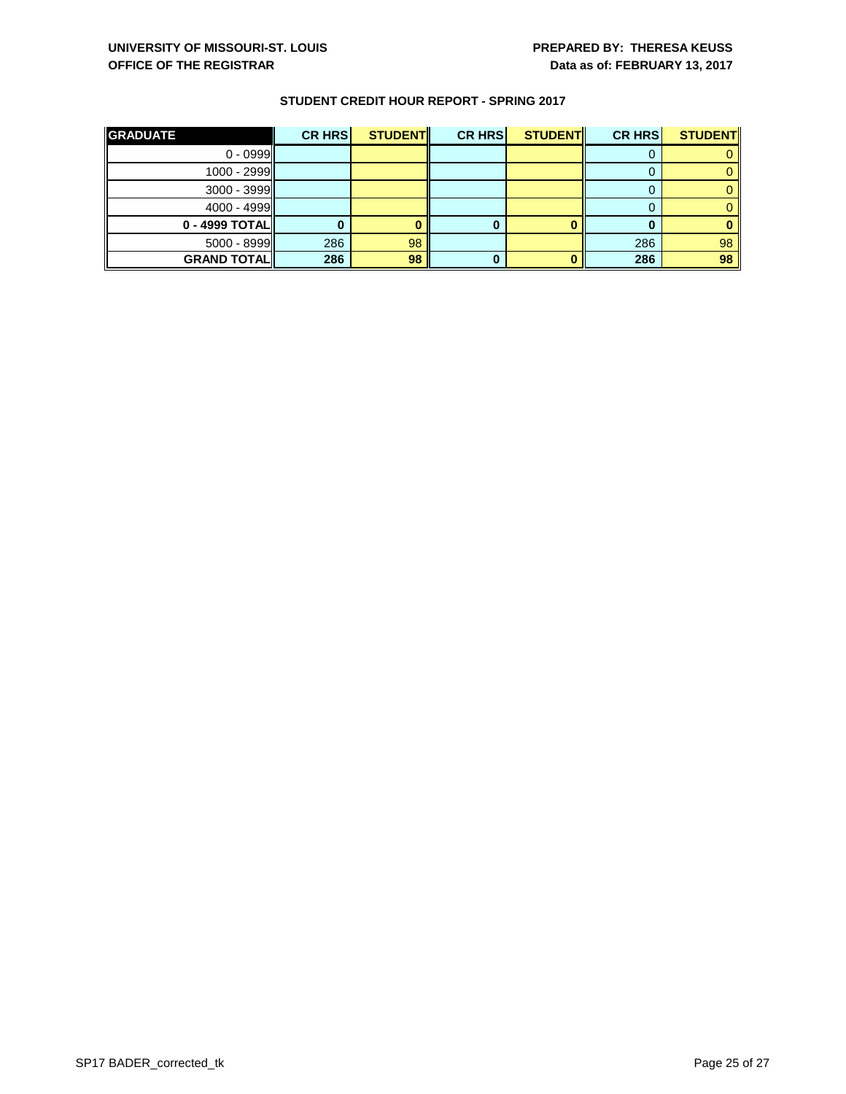| <b>GRADUATE</b>    | <b>CR HRS</b> | <b>STUDENT</b> | <b>CR HRS</b> | <b>STUDENT</b> | <b>CR HRS</b> | <b>STUDENT</b>  |
|--------------------|---------------|----------------|---------------|----------------|---------------|-----------------|
| $0 - 0999$         |               |                |               |                |               |                 |
| $1000 - 2999$      |               |                |               |                |               |                 |
| $3000 - 3999$      |               |                |               |                |               |                 |
| $4000 - 4999$      |               |                |               |                |               |                 |
| $0 - 4999$ TOTAL   |               |                | U             |                |               |                 |
| $5000 - 8999$      | 286           | 98             |               |                | 286           | 98              |
| <b>GRAND TOTAL</b> | 286           | 98             |               |                | 286           | 98 <sub>1</sub> |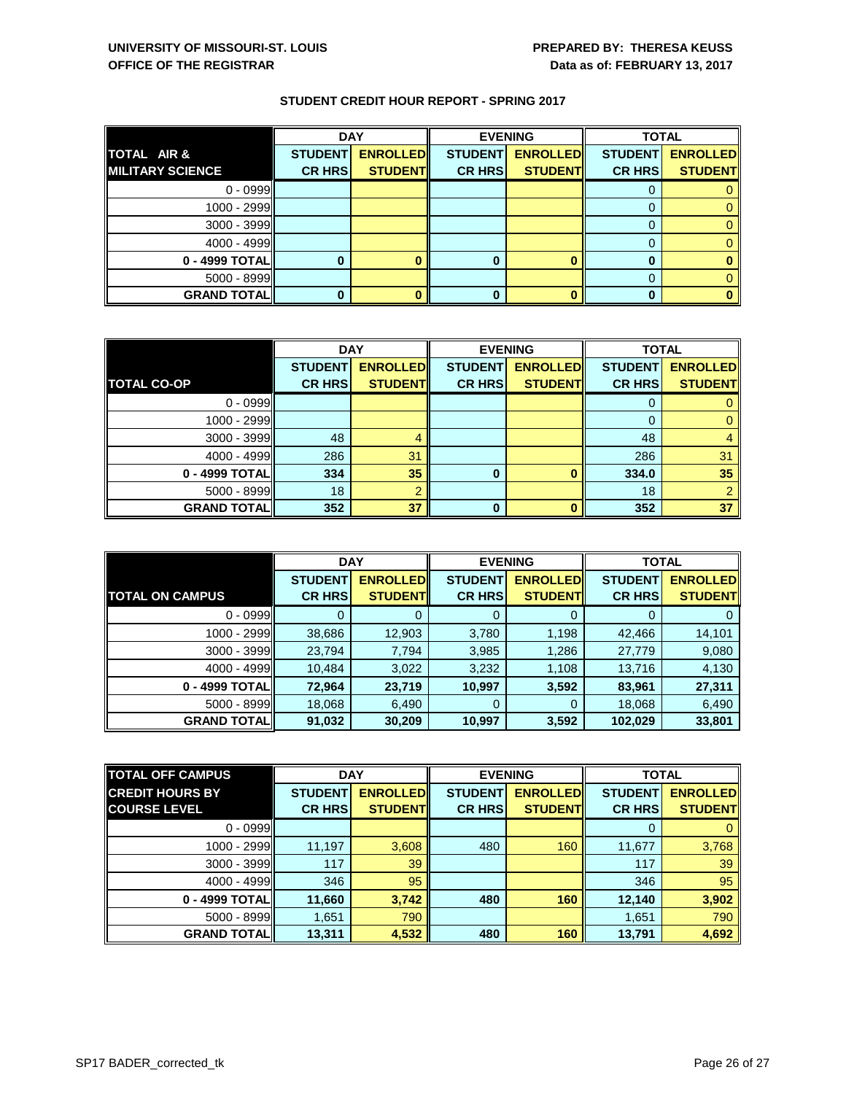|                         | <b>DAY</b>     |                 | <b>EVENING</b> |                 | <b>TOTAL</b>   |                 |
|-------------------------|----------------|-----------------|----------------|-----------------|----------------|-----------------|
| TOTAL AIR &             | <b>STUDENT</b> | <b>ENROLLED</b> | <b>STUDENT</b> | <b>ENROLLED</b> | <b>STUDENT</b> | <b>ENROLLED</b> |
| <b>MILITARY SCIENCE</b> | <b>CR HRS</b>  | <b>STUDENT</b>  | <b>CR HRS</b>  | <b>STUDENT</b>  | <b>CR HRS</b>  | <b>STUDENT</b>  |
| $0 - 0999$              |                |                 |                |                 |                |                 |
| 1000 - 2999             |                |                 |                |                 |                |                 |
| $3000 - 3999$           |                |                 |                |                 |                |                 |
| 4000 - 4999             |                |                 |                |                 |                |                 |
| 0 - 4999 TOTAL          |                |                 | 0              |                 |                |                 |
| $5000 - 8999$           |                |                 |                |                 |                |                 |
| <b>GRAND TOTAL</b>      |                |                 | 0              |                 | 0              |                 |

|                    | <b>DAY</b>     |                 | <b>EVENING</b> |                 | <b>TOTAL</b>   |                 |
|--------------------|----------------|-----------------|----------------|-----------------|----------------|-----------------|
|                    | <b>STUDENT</b> | <b>ENROLLED</b> | <b>STUDENT</b> | <b>ENROLLED</b> | <b>STUDENT</b> | <b>ENROLLED</b> |
| <b>TOTAL CO-OP</b> | <b>CR HRS</b>  | <b>STUDENT</b>  | <b>CR HRS</b>  | <b>STUDENT</b>  | <b>CR HRS</b>  | <b>STUDENT</b>  |
| $0 - 0999$         |                |                 |                |                 |                |                 |
| $1000 - 2999$      |                |                 |                |                 |                |                 |
| $3000 - 3999$      | 48             |                 |                |                 | 48             |                 |
| 4000 - 4999        | 286            | 31              |                |                 | 286            | 31              |
| 0 - 4999 TOTAL     | 334            | 35              | 0              |                 | 334.0          | 35              |
| $5000 - 8999$      | 18             |                 |                |                 | 18             |                 |
| <b>GRAND TOTAL</b> | 352            | 37              | $\mathbf{0}$   |                 | 352            | 37              |

|                        | <b>DAY</b>     |                 | <b>EVENING</b> |                 | <b>TOTAL</b>   |                 |
|------------------------|----------------|-----------------|----------------|-----------------|----------------|-----------------|
|                        | <b>STUDENT</b> | <b>ENROLLED</b> | <b>STUDENT</b> | <b>ENROLLED</b> | <b>STUDENT</b> | <b>ENROLLED</b> |
| <b>TOTAL ON CAMPUS</b> | <b>CR HRS</b>  | <b>STUDENT</b>  | <b>CR HRS</b>  | <b>STUDENT</b>  | <b>CR HRS</b>  | <b>STUDENT</b>  |
| $0 - 0999$             |                | O               | 0              |                 | O              |                 |
| 1000 - 2999            | 38,686         | 12,903          | 3,780          | 1,198           | 42,466         | 14,101          |
| 3000 - 3999            | 23,794         | 7,794           | 3,985          | 1,286           | 27,779         | 9,080           |
| 4000 - 4999            | 10,484         | 3,022           | 3,232          | 1,108           | 13,716         | 4,130           |
| 0 - 4999 TOTAL         | 72,964         | 23,719          | 10,997         | 3,592           | 83,961         | 27,311          |
| 5000 - 8999            | 18,068         | 6,490           | 0              |                 | 18,068         | 6,490           |
| <b>GRAND TOTAL</b>     | 91,032         | 30,209          | 10,997         | 3,592           | 102,029        | 33,801          |

| <b>TOTAL OFF CAMPUS</b> |                | <b>DAY</b>      |                | <b>EVENING</b>  | <b>TOTAL</b>   |                 |
|-------------------------|----------------|-----------------|----------------|-----------------|----------------|-----------------|
| <b>CREDIT HOURS BY</b>  | <b>STUDENT</b> | <b>ENROLLED</b> | <b>STUDENT</b> | <b>ENROLLED</b> | <b>STUDENT</b> | <b>ENROLLED</b> |
| <b>COURSE LEVEL</b>     | <b>CR HRS</b>  | <b>STUDENT</b>  | <b>CR HRS</b>  | <b>STUDENT</b>  | <b>CR HRS</b>  | <b>STUDENT</b>  |
| $0 - 0999$              |                |                 |                |                 |                |                 |
| $1000 - 2999$           | 11,197         | 3,608           | 480            | 160             | 11,677         | 3,768           |
| $3000 - 3999$           | 117            | 39              |                |                 | 117            | 39              |
| $4000 - 4999$           | 346            | 95              |                |                 | 346            | 95              |
| 0 - 4999 TOTAL          | 11,660         | 3,742           | 480            | 160             | 12,140         | 3,902           |
| $5000 - 8999$           | 1,651          | 790             |                |                 | 1,651          | 790             |
| <b>GRAND TOTAL</b>      | 13,311         | 4,532           | 480            | 160             | 13,791         | 4,692           |